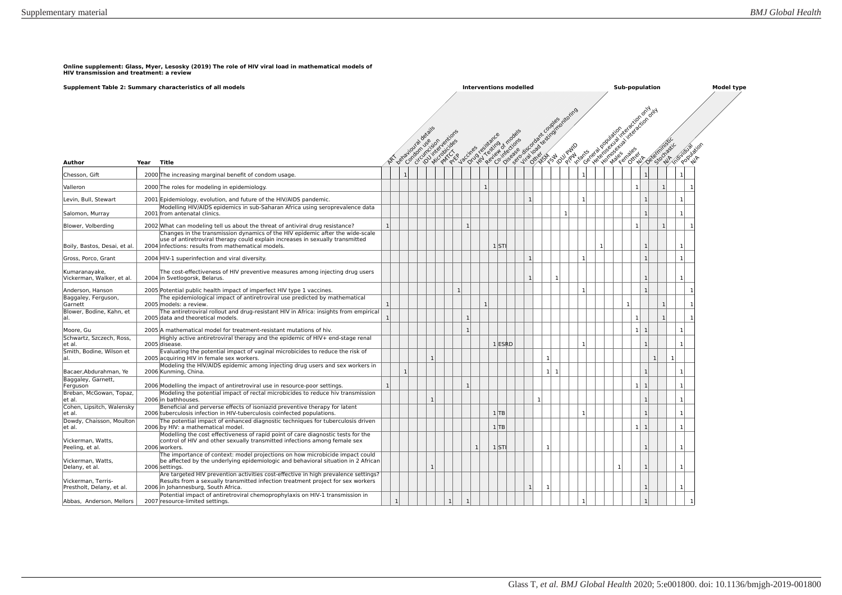**Online supplement: Glass, Myer, Lesosky (2019) The role of HIV viral load in mathematical models of HIV transmission and treatment: a review** 

|                                                 |            | Supplement Table 2: Summary characteristics of all models                                                                                                                                                            |   |                |              |              |                | <b>Interventions modelled</b> |                 |          |              |                |                        |                                               |              |                    | Sub-population                                                |                |                             |              |                | <b>Model type</b> |
|-------------------------------------------------|------------|----------------------------------------------------------------------------------------------------------------------------------------------------------------------------------------------------------------------|---|----------------|--------------|--------------|----------------|-------------------------------|-----------------|----------|--------------|----------------|------------------------|-----------------------------------------------|--------------|--------------------|---------------------------------------------------------------|----------------|-----------------------------|--------------|----------------|-------------------|
|                                                 |            |                                                                                                                                                                                                                      |   |                |              | Condom use.  | Wirkeyertions  | +citres resistances of this   | Region of modes | f models |              |                | Fellows in the couples | Inte James regination demon<br><b>DUV</b> PWD | <b>Kants</b> | General population | sultantifield cronomy<br>in the control of the control of the |                | Deterministic<br>Stochastic |              | in individual  |                   |
| Author                                          | Year Title |                                                                                                                                                                                                                      |   |                |              |              |                |                               |                 |          |              |                |                        |                                               |              |                    |                                                               |                |                             |              |                |                   |
| Chesson, Gift                                   |            | 2000 The increasing marginal benefit of condom usage.                                                                                                                                                                |   |                |              |              |                |                               |                 |          |              |                |                        |                                               |              |                    |                                                               | $\mathbf{1}$   |                             |              | $\mathbf{1}$   |                   |
| Valleron                                        |            | 2000 The roles for modeling in epidemiology.                                                                                                                                                                         |   |                |              |              |                |                               | $\overline{1}$  |          |              |                |                        |                                               |              |                    |                                                               | 1              | $\mathbf{1}$                |              | $\mathbf{1}$   |                   |
| Levin, Bull, Stewart                            |            | 2001 Epidemiology, evolution, and future of the HIV/AIDS pandemic.                                                                                                                                                   |   |                |              |              |                |                               |                 |          | $\mathbf{1}$ |                |                        |                                               | -1           |                    |                                                               | $\mathbf{1}$   |                             |              | $\mathbf{1}$   |                   |
| Salomon, Murray                                 |            | Modelling HIV/AIDS epidemics in sub-Saharan Africa using seroprevalence data<br>2001 from antenatal clinics.                                                                                                         |   |                |              |              |                |                               |                 |          |              |                |                        | $\mathbf{1}$                                  |              |                    |                                                               | $\overline{1}$ |                             |              | $\mathbf{1}$   |                   |
| Blower, Volberding                              |            | 2002 What can modeling tell us about the threat of antiviral drug resistance?                                                                                                                                        | 1 |                |              |              |                | $\mathbf{1}$                  |                 |          |              |                |                        |                                               |              |                    |                                                               | $\mathbf{1}$   | $\mathbf{1}$                |              | $\mathbf{1}$   |                   |
| Boily, Bastos, Desai, et al.                    |            | Changes in the transmission dynamics of the HIV epidemic after the wide-scale<br>use of antiretroviral therapy could explain increases in sexually transmitted<br>2004 infections: results from mathematical models. |   |                |              |              |                |                               | $1$ STI         |          |              |                |                        |                                               |              |                    |                                                               | $\mathbf{1}$   |                             |              | $\mathbf{1}$   |                   |
| Gross, Porco, Grant                             |            | 2004 HIV-1 superinfection and viral diversity.                                                                                                                                                                       |   |                |              |              |                |                               |                 |          | $\mathbf{1}$ |                |                        |                                               |              |                    |                                                               | $\mathbf{1}$   |                             |              | 1 <sup>1</sup> |                   |
| Kumaranayake,<br>Vickerman, Walker, et al.      |            | The cost-effectiveness of HIV preventive measures among injecting drug users<br>2004 in Svetlogorsk, Belarus.                                                                                                        |   |                |              |              |                |                               |                 |          | $\mathbf{1}$ |                | $\mathbf{1}$           |                                               |              |                    |                                                               | $\mathbf{1}$   |                             |              | $\mathbf{1}$   |                   |
| Anderson, Hanson                                |            | 2005 Potential public health impact of imperfect HIV type 1 vaccines.                                                                                                                                                |   |                |              |              | $\mathbf{1}$   |                               |                 |          |              |                |                        |                                               | 1            |                    |                                                               | $\mathbf{1}$   |                             |              | $\mathbf{1}$   |                   |
| Baggaley, Ferguson,<br>Garnett                  |            | The epidemiological impact of antiretroviral use predicted by mathematical<br>2005 models: a review.                                                                                                                 |   |                |              |              |                |                               | $\mathbf{1}$    |          |              |                |                        |                                               |              |                    |                                                               |                | $\mathbf{1}$                |              | $\mathbf{1}$   |                   |
| Blower, Bodine, Kahn, et<br>lal.                |            | The antiretroviral rollout and drug-resistant HIV in Africa: insights from empirical<br>2005 data and theoretical models.                                                                                            | 1 |                |              |              |                | -1                            |                 |          |              |                |                        |                                               |              |                    |                                                               | $\mathbf{1}$   | $\mathbf{1}$                |              | $\mathbf{1}$   |                   |
| Moore, Gu                                       |            | 2005 A mathematical model for treatment-resistant mutations of hiv.                                                                                                                                                  |   |                |              |              |                | $\overline{1}$                |                 |          |              |                |                        |                                               |              |                    |                                                               | $1 \vert 1$    |                             |              | 1 <sup>1</sup> |                   |
| Schwartz, Szczech, Ross,<br>et al.              |            | Highly active antiretroviral therapy and the epidemic of HIV+ end-stage renal<br>2005 disease.                                                                                                                       |   |                |              |              |                |                               |                 | $1$ ESRD |              |                |                        |                                               |              |                    |                                                               | $\mathbf{1}$   |                             |              | $\mathbf{1}$   |                   |
| Smith, Bodine, Wilson et<br>lal.                |            | Evaluating the potential impact of vaginal microbicides to reduce the risk of<br>2005 acquiring HIV in female sex workers.                                                                                           |   |                |              | $\mathbf{1}$ |                |                               |                 |          |              |                | $\mathbf{1}$           |                                               |              |                    |                                                               |                | $\overline{1}$              | $\mathbf{1}$ |                |                   |
| Bacaer, Abdurahman, Ye                          |            | Modeling the HIV/AIDS epidemic among injecting drug users and sex workers in<br>2006 Kunming, China.                                                                                                                 |   |                | $\mathbf{1}$ |              |                |                               |                 |          |              |                | $1 \vert 1$            |                                               |              |                    |                                                               | $\mathbf{1}$   |                             |              | $\mathbf{1}$   |                   |
| Baggaley, Garnett,<br>Ferguson                  |            | 2006 Modelling the impact of antiretroviral use in resource-poor settings.                                                                                                                                           | 1 |                |              |              |                | -1                            |                 |          |              |                |                        |                                               |              |                    |                                                               | $1 \vert 1$    |                             |              | $\mathbf{1}$   |                   |
| Breban, McGowan, Topaz,<br>et al.               |            | Modeling the potential impact of rectal microbicides to reduce hiv transmission<br>2006 in bathhouses.                                                                                                               |   |                |              | -1           |                |                               |                 |          |              | 1 <sup>1</sup> |                        |                                               |              |                    |                                                               | $\mathbf{1}$   |                             |              | $\mathbf{1}$   |                   |
| Cohen, Lipsitch, Walensky<br>et al.             |            | Beneficial and perverse effects of isoniazid preventive therapy for latent<br>2006 tuberculosis infection in HIV-tuberculosis coinfected populations.                                                                |   |                |              |              |                |                               | 1 TB            |          |              |                |                        |                                               | -1           |                    |                                                               | $\mathbf{1}$   |                             |              | $\mathbf{1}$   |                   |
| Dowdy, Chaisson, Moulton<br>et al.              |            | The potential impact of enhanced diagnostic techniques for tuberculosis driven<br>2006 by HIV: a mathematical model.                                                                                                 |   |                |              |              |                |                               | $1$ TB          |          |              |                |                        |                                               |              |                    |                                                               | $1 \vert 1$    |                             |              | $\mathbf{1}$   |                   |
| Vickerman, Watts,<br>Peeling, et al.            |            | Modelling the cost effectiveness of rapid point of care diagnostic tests for the<br>control of HIV and other sexually transmitted infections among female sex<br>2006 workers.                                       |   |                |              |              |                |                               | $1$ ST          |          |              |                | 1                      |                                               |              |                    |                                                               | $\mathbf{1}$   |                             |              | $\mathbf{1}$   |                   |
| Vickerman, Watts,<br>Delany, et al.             |            | The importance of context: model projections on how microbicide impact could<br>be affected by the underlying epidemiologic and behavioral situation in 2 African<br>2006 settings.                                  |   |                |              |              |                |                               |                 |          |              |                |                        |                                               |              |                    | $\mathbf{1}$                                                  | $\mathbf{1}$   |                             |              | 1              |                   |
| Vickerman, Terris-<br>Prestholt, Delany, et al. |            | Are targeted HIV prevention activities cost-effective in high prevalence settings?<br>Results from a sexually transmitted infection treatment project for sex workers<br>2006 in Johannesburg, South Africa.         |   |                |              |              |                |                               |                 |          | 1            |                | $\mathbf{1}$           |                                               |              |                    |                                                               | $\mathbf{1}$   |                             |              | 1 <sup>1</sup> |                   |
| Abbas, Anderson, Mellors                        |            | Potential impact of antiretroviral chemoprophylaxis on HIV-1 transmission in<br>2007 resource-limited settings.                                                                                                      |   | 1 <sup>1</sup> |              |              | 1 <sup>1</sup> | $\mathbf{1}$                  |                 |          |              |                |                        |                                               |              |                    |                                                               | $\mathbf{1}$   |                             |              | 1              |                   |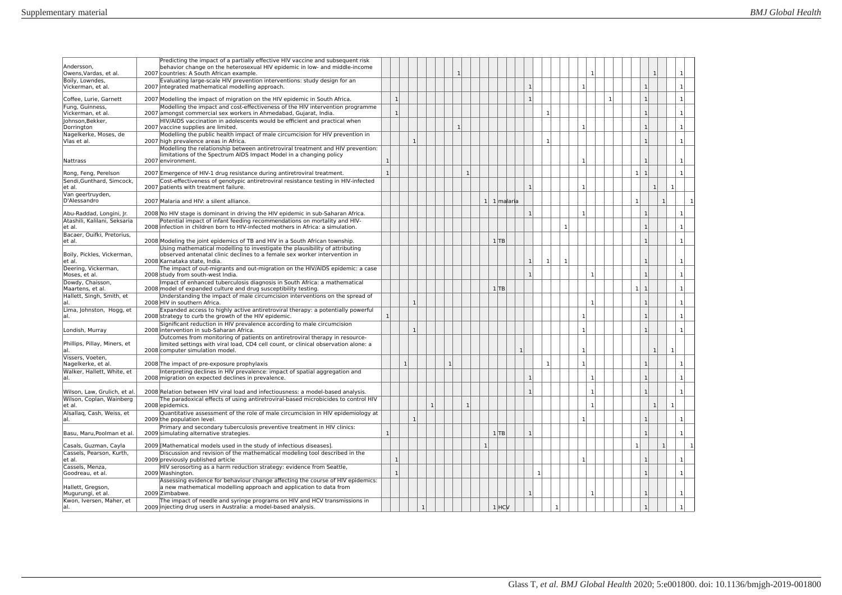| Andersson,<br>Owens, Vardas, et al.    | Predicting the impact of a partially effective HIV vaccine and subsequent risk<br>behavior change on the heterosexual HIV epidemic in low- and middle-income<br>2007 countries: A South African example. |              |              |              |           |              |              |              |              |              |             |                |              |              |    |              |                |  |                |                |                |              |                |
|----------------------------------------|----------------------------------------------------------------------------------------------------------------------------------------------------------------------------------------------------------|--------------|--------------|--------------|-----------|--------------|--------------|--------------|--------------|--------------|-------------|----------------|--------------|--------------|----|--------------|----------------|--|----------------|----------------|----------------|--------------|----------------|
| Boily, Lowndes,<br>Vickerman, et al.   | Evaluating large-scale HIV prevention interventions: study design for an<br>2007 integrated mathematical modelling approach.                                                                             |              |              |              |           |              |              |              |              |              |             | $\mathbf{1}$   |              |              |    | $\mathbf{1}$ |                |  |                | $\mathbf{1}$   |                |              | $\mathbf{1}$   |
| Coffee, Lurie, Garnett                 | 2007 Modelling the impact of migration on the HIV epidemic in South Africa.                                                                                                                              |              | $\mathbf{1}$ |              |           |              |              |              |              |              |             | $\mathbf{1}$   |              |              |    |              |                |  |                | $\mathbf{1}$   |                |              | $\mathbf{1}$   |
| Fung, Guinness,<br>Vickerman, et al.   | Modelling the impact and cost-effectiveness of the HIV intervention programme<br>2007 amongst commercial sex workers in Ahmedabad, Gujarat, India.                                                       |              | $\mathbf{1}$ |              |           |              |              |              |              |              |             |                | $\mathbf{1}$ |              |    |              |                |  |                | $\overline{1}$ |                |              | 1              |
| Johnson, Bekker,                       | HIV/AIDS vaccination in adolescents would be efficient and practical when                                                                                                                                |              |              |              |           |              |              |              |              |              |             |                |              |              |    |              |                |  |                |                |                |              |                |
| Dorrington                             | 2007 vaccine supplies are limited.<br>Modelling the public health impact of male circumcision for HIV prevention in                                                                                      |              |              |              |           |              |              | $\mathbf{1}$ |              |              |             |                |              |              |    | $\mathbf{1}$ |                |  |                | $\mathbf{1}$   |                |              | $\mathbf{1}$   |
| Nagelkerke, Moses, de<br>Vlas et al.   | 2007 high prevalence areas in Africa.                                                                                                                                                                    |              |              | $\mathbf{1}$ |           |              |              |              |              |              |             |                | $\mathbf{1}$ |              |    |              |                |  |                | $\mathbf{1}$   |                |              | $\mathbf{1}$   |
| Nattrass                               | Modelling the relationship between antiretroviral treatment and HIV prevention:<br>limitations of the Spectrum AIDS Impact Model in a changing policy<br>2007 environment.                               | $\mathbf{1}$ |              |              |           |              |              |              |              |              |             |                |              |              |    | $\mathbf{1}$ |                |  |                | $\mathbf{1}$   |                |              | $\mathbf{1}$   |
| Rong, Feng, Perelson                   | 2007 Emergence of HIV-1 drug resistance during antiretroviral treatment.                                                                                                                                 | $\mathbf{1}$ |              |              |           |              |              |              | $\mathbf{1}$ |              |             |                |              |              |    |              |                |  | 1 <sup>1</sup> | $\mathbf{1}$   |                |              | $\mathbf{1}$   |
| Sendi, Gunthard, Simcock,              | Cost-effectiveness of genotypic antiretroviral resistance testing in HIV-infected                                                                                                                        |              |              |              |           |              |              |              |              |              |             |                |              |              |    |              |                |  |                |                |                |              |                |
| et al.<br>Van geertruyden,             | 2007 patients with treatment failure.                                                                                                                                                                    |              |              |              |           |              |              |              |              |              |             | $\mathbf{1}$   |              |              |    | 1            |                |  |                |                | $\mathbf{1}$   | 1            |                |
| D'Alessandro                           | 2007 Malaria and HIV: a silent alliance.                                                                                                                                                                 |              |              |              |           |              |              |              |              |              | 1 1 malaria |                |              |              |    |              |                |  | $\mathbf{1}$   |                | 1              |              |                |
| Abu-Raddad, Longini, Jr.               | 2008 No HIV stage is dominant in driving the HIV epidemic in sub-Saharan Africa.                                                                                                                         |              |              |              |           |              |              |              |              |              |             | 1              |              |              |    | $\mathbf{1}$ |                |  |                | $\mathbf{1}$   |                |              | $\mathbf{1}$   |
| Atashili, Kalilani, Seksaria<br>et al. | Potential impact of infant feeding recommendations on mortality and HIV-<br>2008 infection in children born to HIV-infected mothers in Africa: a simulation.                                             |              |              |              |           |              |              |              |              |              |             |                |              |              | -1 |              |                |  |                | $\mathbf{1}$   |                |              | $\mathbf{1}$   |
| Bacaer, Ouifki, Pretorius,             |                                                                                                                                                                                                          |              |              |              |           |              |              |              |              |              |             |                |              |              |    |              |                |  |                |                |                |              |                |
| et al.                                 | 2008 Modeling the joint epidemics of TB and HIV in a South African township.<br>Using mathematical modelling to investigate the plausibility of attributing                                              |              |              |              |           |              |              |              |              |              | 1 TB        |                |              |              |    |              |                |  |                | $\mathbf{1}$   |                |              | 1              |
| Boily, Pickles, Vickerman,<br>et al.   | observed antenatal clinic declines to a female sex worker intervention in<br>2008 Karnataka state, India.                                                                                                |              |              |              |           |              |              |              |              |              |             | $\mathbf{1}$   | $\mathbf{1}$ |              | 1  |              |                |  |                | $\mathbf{1}$   |                |              | 1              |
| Deering, Vickerman,<br>Moses, et al.   | The impact of out-migrants and out-migration on the HIV/AIDS epidemic: a case<br>2008 study from south-west India.                                                                                       |              |              |              |           |              |              |              |              |              |             | 1              |              |              |    |              | $\mathbf{1}$   |  |                | $\mathbf{1}$   |                |              | 1              |
| Dowdy, Chaisson,<br>Maartens, et al.   | Impact of enhanced tuberculosis diagnosis in South Africa: a mathematical<br>2008 model of expanded culture and drug susceptibility testing.                                                             |              |              |              |           |              |              |              |              |              | 1 TB        |                |              |              |    |              |                |  | 1              | $\mathbf{1}$   |                |              | 1              |
| Hallett, Singh, Smith, et<br>lal       | Understanding the impact of male circumcision interventions on the spread of<br>2008 HIV in southern Africa.                                                                                             |              |              | $\mathbf{1}$ |           |              |              |              |              |              |             |                |              |              |    |              | $\mathbf{1}$   |  |                | $\mathbf{1}$   |                |              | 1              |
| Lima, Johnston, Hogg, et<br>lal.       | Expanded access to highly active antiretroviral therapy: a potentially powerful<br>2008 strategy to curb the growth of the HIV epidemic.                                                                 | $\mathbf{1}$ |              |              |           |              |              |              |              |              |             |                |              |              |    | 1            |                |  |                | $\mathbf{1}$   |                |              | 1              |
| Londish, Murray                        | Significant reduction in HIV prevalence according to male circumcision<br>2008 intervention in sub-Saharan Africa.                                                                                       |              |              | $\mathbf{1}$ |           |              |              |              |              |              |             |                |              |              |    | $\mathbf{1}$ |                |  |                | $\overline{1}$ |                |              | $\mathbf{1}$   |
| Phillips, Pillay, Miners, et<br>al.    | Outcomes from monitoring of patients on antiretroviral therapy in resource-<br>limited settings with viral load, CD4 cell count, or clinical observation alone: a<br>2008 computer simulation model.     |              |              |              |           |              |              |              |              |              |             | 1 <sup>1</sup> |              |              |    | $\mathbf{1}$ |                |  |                |                | $\mathbf{1}$   | $\mathbf{1}$ |                |
| Vissers, Voeten,<br>Nagelkerke, et al. | 2008 The impact of pre-exposure prophylaxis                                                                                                                                                              |              |              | $\mathbf{1}$ |           |              | $\mathbf{1}$ |              |              |              |             |                | $\mathbf{1}$ |              |    | 1            |                |  |                | $\mathbf{1}$   |                |              | $\mathbf{1}$   |
| Walker, Hallett, White, et             | Interpreting declines in HIV prevalence: impact of spatial aggregation and                                                                                                                               |              |              |              |           |              |              |              |              |              |             |                |              |              |    |              |                |  |                |                |                |              |                |
| lal.                                   | 2008 migration on expected declines in prevalence.                                                                                                                                                       |              |              |              |           |              |              |              |              |              |             | 1              |              |              |    |              | $\mathbf{1}$   |  |                | $\mathbf{1}$   |                |              | 1              |
| Wilson, Law, Grulich, et al.           | 2008 Relation between HIV viral load and infectiousness: a model-based analysis.                                                                                                                         |              |              |              |           |              |              |              |              |              |             | $\mathbf{1}$   |              |              |    |              | $\mathbf{1}$   |  |                | $\overline{1}$ |                |              | $\mathbf{1}$   |
| Wilson, Coplan, Wainberg<br>let al.    | The paradoxical effects of using antiretroviral-based microbicides to control HIV<br>2008 epidemics.                                                                                                     |              |              |              |           | $\mathbf{1}$ |              |              | $\mathbf{1}$ |              |             |                |              |              |    |              | $\mathbf{1}$   |  |                |                | $\overline{1}$ | $\mathbf{1}$ |                |
| Alsallag, Cash, Weiss, et<br>lal.      | Quantitative assessment of the role of male circumcision in HIV epidemiology at<br>2009 the population level.                                                                                            |              |              | $\mathbf{1}$ |           |              |              |              |              |              |             |                |              |              |    | $\mathbf{1}$ |                |  |                | $\mathbf{1}$   |                |              | 1              |
| Basu, Maru, Poolman et al              | Primary and secondary tuberculosis preventive treatment in HIV clinics:<br>2009 simulating alternative strategies.                                                                                       | $\mathbf{1}$ |              |              |           |              |              |              |              |              | 1 TB        | $\mathbf{1}$   |              |              |    |              |                |  |                | $\mathbf{1}$   |                |              | 1 <sup>1</sup> |
| Casals, Guzman, Cayla                  | 2009 [Mathematical models used in the study of infectious diseases].                                                                                                                                     |              |              |              |           |              |              |              |              | $\mathbf{1}$ |             |                |              |              |    |              |                |  | $\mathbf{1}$   |                | $\mathbf{1}$   |              |                |
| Cassels, Pearson, Kurth,<br>et al.     | Discussion and revision of the mathematical modeling tool described in the<br>2009 previously published article                                                                                          |              | $\mathbf{1}$ |              |           |              |              |              |              |              |             |                |              |              |    |              |                |  |                | $\overline{1}$ |                |              | 1              |
| Cassels, Menza,<br>Goodreau, et al.    | HIV serosorting as a harm reduction strategy: evidence from Seattle,<br>2009 Washington.                                                                                                                 |              | $\mathbf{1}$ |              |           |              |              |              |              |              |             |                | 1            |              |    |              |                |  |                | $\mathbf{1}$   |                |              | 1              |
| Hallett, Gregson,<br>Mugurungi, et al. | Assessing evidence for behaviour change affecting the course of HIV epidemics:<br>a new mathematical modelling approach and application to data from<br>2009 Zimbabwe.                                   |              |              |              |           |              |              |              |              |              |             | $\mathbf{1}$   |              |              |    |              | 1 <sup>1</sup> |  |                | $\mathbf{1}$   |                |              | 1              |
| Kwon, Iversen, Maher, et<br>lal.       | The impact of needle and syringe programs on HIV and HCV transmissions in<br>2009 injecting drug users in Australia: a model-based analysis.                                                             |              |              |              | $\vert$ 1 |              |              |              |              |              | $1$ HCV     |                |              | $\mathbf{1}$ |    |              |                |  |                | $\mathbf{1}$   |                |              | $\mathbf{1}$   |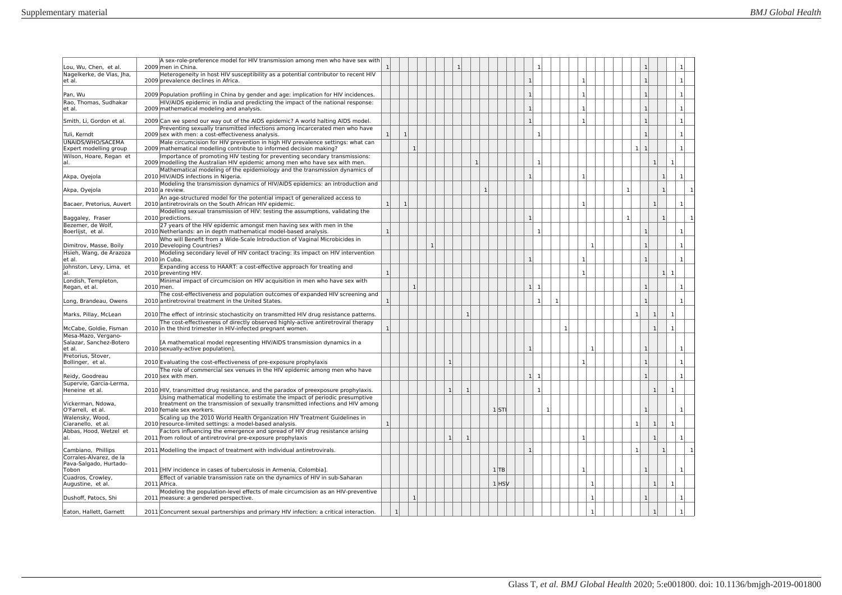| Lou, Wu, Chen, et al.                             | A sex-role-preference model for HIV transmission among men who have sex with<br>2009 men in China.                                                                                        |                |              |              |  | $\mathbf{1}$ |                |              |           |              |              |              |              |              |              | $\mathbf{1}$               |                |                      | 1              |
|---------------------------------------------------|-------------------------------------------------------------------------------------------------------------------------------------------------------------------------------------------|----------------|--------------|--------------|--|--------------|----------------|--------------|-----------|--------------|--------------|--------------|--------------|--------------|--------------|----------------------------|----------------|----------------------|----------------|
| Nagelkerke, de Vlas, Jha,<br>et al.               | Heterogeneity in host HIV susceptibility as a potential contributor to recent HIV<br>2009 prevalence declines in Africa.                                                                  |                |              |              |  |              |                |              |           | $\mathbf{1}$ |              |              | $\mathbf{1}$ |              |              | $\overline{1}$             |                |                      | $\mathbf{1}$   |
| Pan, Wu                                           | 2009 Population profiling in China by gender and age: implication for HIV incidences.                                                                                                     |                |              |              |  |              |                |              |           | $\mathbf{1}$ |              |              | $\mathbf{1}$ |              |              | 1                          |                |                      | $\mathbf{1}$   |
| Rao, Thomas, Sudhakar<br>et al.                   | HIV/AIDS epidemic in India and predicting the impact of the national response:<br>2009 mathematical modeling and analysis.                                                                |                |              |              |  |              |                |              |           | $\mathbf{1}$ |              |              | $\mathbf{1}$ |              |              | $\overline{1}$             |                |                      | 1              |
| Smith, Li, Gordon et al.                          | 2009 Can we spend our way out of the AIDS epidemic? A world halting AIDS model.                                                                                                           |                |              |              |  |              |                |              |           | $\mathbf{1}$ |              |              | $\mathbf{1}$ |              |              | $\overline{1}$             |                |                      | 1              |
|                                                   | Preventing sexually transmitted infections among incarcerated men who have                                                                                                                |                |              |              |  |              |                |              |           |              |              |              |              |              |              |                            |                |                      |                |
| Tuli, Kerndt<br>UNAIDS/WHO/SACEMA                 | 2009 sex with men: a cost-effectiveness analysis.<br>Male circumcision for HIV prevention in high HIV prevalence settings: what can                                                       | $\mathbf{1}$   | $\mathbf{1}$ |              |  |              |                |              |           |              | $\mathbf{1}$ |              |              |              |              | $\overline{1}$             |                |                      | $\mathbf{1}$   |
| Expert modelling group                            | 2009 mathematical modelling contribute to informed decision making?                                                                                                                       |                |              | $\mathbf{1}$ |  |              |                |              |           |              |              |              |              |              |              | $1\vert$<br>$\overline{1}$ |                |                      | $\mathbf{1}$   |
| Wilson, Hoare, Regan et<br>al.                    | Importance of promoting HIV testing for preventing secondary transmissions:<br>2009 modelling the Australian HIV epidemic among men who have sex with men.                                |                |              |              |  |              |                | -1           |           |              | $\mathbf{1}$ |              |              |              |              |                            | -1             | -1                   |                |
| Akpa, Oyejola                                     | Mathematical modeling of the epidemiology and the transmission dynamics of<br>2010 HIV/AIDS infections in Nigeria.                                                                        |                |              |              |  |              |                |              |           | $\mathbf{1}$ |              |              | $\mathbf{1}$ |              |              |                            | $\mathbf{1}$   |                      | $\mathbf{1}$   |
| Akpa, Oyejola                                     | Modeling the transmission dynamics of HIV/AIDS epidemics: an introduction and<br>2010 a review.                                                                                           |                |              |              |  |              |                | $\mathbf{1}$ |           |              |              |              |              |              | $\mathbf{1}$ |                            | 1              |                      |                |
| Bacaer, Pretorius, Auvert                         | An age-structured model for the potential impact of generalized access to<br>2010 antiretrovirals on the South African HIV epidemic.                                                      | $\overline{1}$ | $\mathbf{1}$ |              |  |              |                |              |           |              |              |              | $\mathbf{1}$ |              |              |                            | $\overline{1}$ |                      | $\mathbf{1}$   |
| Baggaley, Fraser                                  | Modelling sexual transmission of HIV: testing the assumptions, validating the<br>2010 predictions.                                                                                        |                |              |              |  |              |                |              |           | $\mathbf{1}$ |              |              |              |              | $\mathbf{1}$ |                            | $\mathbf{1}$   |                      | $\mathbf{1}$   |
| Bezemer, de Wolf,<br>Boerlijst, et al.            | 27 years of the HIV epidemic amongst men having sex with men in the<br>2010 Netherlands: an in depth mathematical model-based analysis.                                                   | $\mathbf{1}$   |              |              |  |              |                |              |           |              | $\mathbf{1}$ |              |              |              |              | $\mathbf{1}$               |                |                      | 1              |
| Dimitrov, Masse, Boily                            | Who will Benefit from a Wide-Scale Introduction of Vaginal Microbicides in<br>2010 Developing Countries?                                                                                  |                |              |              |  |              |                |              |           |              |              |              | $\mathbf{1}$ |              |              | $\mathbf{1}$               |                |                      | 1              |
| Hsieh, Wang, de Arazoza<br>et al.                 | Modeling secondary level of HIV contact tracing: its impact on HIV intervention<br>2010 in Cuba.                                                                                          |                |              |              |  |              |                |              |           | $\mathbf{1}$ |              |              | $\mathbf{1}$ |              |              | $\mathbf{1}$               |                |                      | $\mathbf{1}$   |
| Johnston, Levy, Lima, et<br>al.                   | Expanding access to HAART: a cost-effective approach for treating and<br>2010 preventing HIV.                                                                                             | $\mathbf{1}$   |              |              |  |              |                |              |           |              |              |              | $\mathbf{1}$ |              |              |                            |                | 1 <sup>1</sup><br>-1 |                |
| Londish, Templeton,<br>Regan, et al.              | Minimal impact of circumcision on HIV acquisition in men who have sex with<br>2010 men.                                                                                                   |                |              | $\mathbf{1}$ |  |              |                |              |           | 1            | 1            |              |              |              |              | $\mathbf{1}$               |                |                      | $\mathbf{1}$   |
| Long, Brandeau, Owens                             | The cost-effectiveness and population outcomes of expanded HIV screening and<br>2010 antiretroviral treatment in the United States.                                                       | $\mathbf{1}$   |              |              |  |              |                |              |           |              | $\mathbf{1}$ | $\mathbf{1}$ |              |              |              | $\mathbf{1}$               |                |                      | 1              |
| Marks, Pillay, McLean                             | 2010 The effect of intrinsic stochasticity on transmitted HIV drug resistance patterns.                                                                                                   |                |              |              |  |              | $\mathbf{1}$   |              |           |              |              |              |              |              |              | $\mathbf{1}$               | $\overline{1}$ | $\mathbf{1}$         |                |
| McCabe, Goldie, Fisman                            | The cost-effectiveness of directly observed highly-active antiretroviral therapy<br>2010 in the third trimester in HIV-infected pregnant women.                                           |                |              |              |  |              |                |              |           |              |              |              |              |              |              |                            | $\overline{1}$ |                      |                |
| Mesa-Mazo, Vergano-                               |                                                                                                                                                                                           |                |              |              |  |              |                |              |           |              |              |              |              |              |              |                            |                |                      |                |
| Salazar, Sanchez-Botero<br>et al.                 | [A mathematical model representing HIV/AIDS transmission dynamics in a<br>2010 sexually-active population].                                                                               |                |              |              |  |              |                |              |           | $\mathbf{1}$ |              |              | -1           |              |              | $\mathbf{1}$               |                |                      | 1              |
| Pretorius, Stover,<br>Bollinger, et al.           | 2010 Evaluating the cost-effectiveness of pre-exposure prophylaxis                                                                                                                        |                |              |              |  | $\mathbf{1}$ |                |              |           |              |              |              | $\mathbf{1}$ |              |              | $\mathbf{1}$               |                |                      | $\mathbf{1}$   |
| Reidy, Goodreau                                   | The role of commercial sex venues in the HIV epidemic among men who have<br>2010 sex with men.                                                                                            |                |              |              |  |              |                |              |           | 1            | $\mathbf{1}$ |              |              |              |              | $\mathbf{1}$               |                |                      | $\mathbf{1}$   |
| Supervie, Garcia-Lerma,                           |                                                                                                                                                                                           |                |              |              |  |              |                |              |           |              |              |              |              |              |              |                            |                |                      |                |
| Heneine et al.                                    | 2010 HIV, transmitted drug resistance, and the paradox of preexposure prophylaxis.                                                                                                        |                |              |              |  | $\mathbf{1}$ | $\overline{1}$ |              |           |              | $\mathbf{1}$ |              |              |              |              |                            | $\overline{1}$ | $\mathbf{1}$         |                |
| Vickerman, Ndowa,<br>O'Farrell, et al.            | Using mathematical modelling to estimate the impact of periodic presumptive<br>treatment on the transmission of sexually transmitted infections and HIV among<br>2010 female sex workers. |                |              |              |  |              |                |              | 1ST       |              | $\mathbf{1}$ |              |              |              |              | $\overline{1}$             |                |                      | $\mathbf{1}$   |
| Walensky, Wood,<br>Ciaranello, et al.             | Scaling up the 2010 World Health Organization HIV Treatment Guidelines in<br>2010 resource-limited settings: a model-based analysis.                                                      | $\mathbf{1}$   |              |              |  |              |                |              |           |              |              |              |              |              |              | $\mathbf{1}$               | $\mathbf{1}$   | $\mathbf{1}$         |                |
| Abbas, Hood, Wetzel et<br>al.                     | Factors influencing the emergence and spread of HIV drug resistance arising<br>2011 from rollout of antiretroviral pre-exposure prophylaxis                                               |                |              |              |  | $\mathbf{1}$ | $\mathbf{1}$   |              |           |              |              |              | $\mathbf{1}$ |              |              |                            | $\mathbf{1}$   |                      | 1 <sup>1</sup> |
| Cambiano, Phillips                                | 2011 Modelling the impact of treatment with individual antiretrovirals.                                                                                                                   |                |              |              |  |              |                |              |           | $\mathbf{1}$ |              |              |              |              |              | $\mathbf{1}$               | $\mathbf{1}$   |                      | $\mathbf{1}$   |
| Corrales-Alvarez, de la<br>Pava-Salgado, Hurtado- |                                                                                                                                                                                           |                |              |              |  |              |                |              |           |              |              |              |              |              |              |                            |                |                      |                |
| Tobon                                             | 2011 [HIV incidence in cases of tuberculosis in Armenia, Colombia].                                                                                                                       |                |              |              |  |              |                |              | 1 TB      |              |              |              | $\mathbf{1}$ |              |              | $\overline{1}$             |                |                      | $\mathbf{1}$   |
| Cuadros, Crowley,<br>Augustine, et al.            | Effect of variable transmission rate on the dynamics of HIV in sub-Saharan<br>2011 Africa.                                                                                                |                |              |              |  |              |                |              | $1$ $HSV$ |              |              |              | $\mathbf{1}$ |              |              |                            | $\overline{1}$ | $1\vert$             |                |
| Dushoff, Patocs, Shi                              | Modeling the population-level effects of male circumcision as an HIV-preventive<br>2011 measure: a gendered perspective.                                                                  |                |              | $\mathbf{1}$ |  |              |                |              |           |              |              |              |              | $\mathbf{1}$ |              | $\mathbf{1}$               |                |                      | $\mathbf{1}$   |
| Eaton, Hallett, Garnett                           | 2011 Concurrent sexual partnerships and primary HIV infection: a critical interaction.                                                                                                    |                |              |              |  |              |                |              |           |              |              |              |              |              |              |                            | $\overline{1}$ |                      |                |
|                                                   |                                                                                                                                                                                           |                |              |              |  |              |                |              |           |              |              |              |              |              |              |                            |                |                      |                |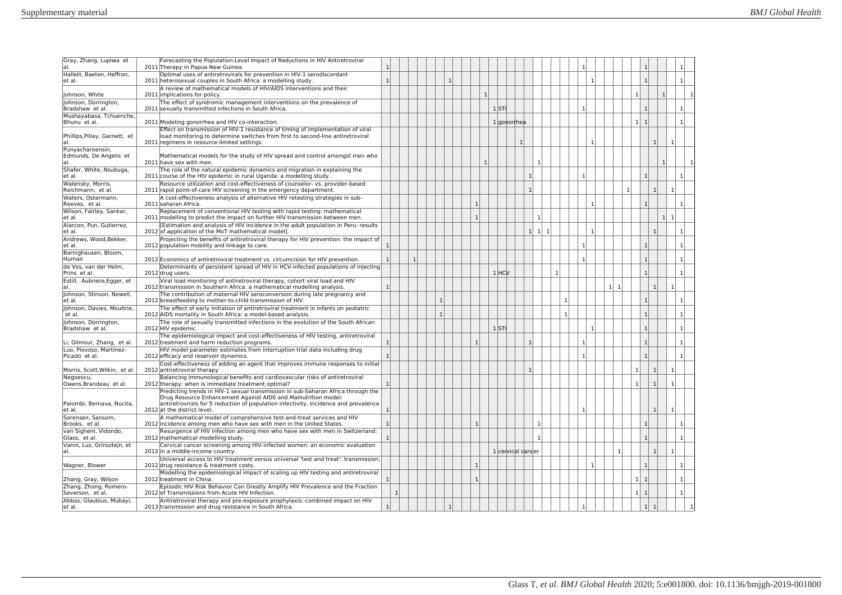| Gray, Zhang, Lupiwa et<br>al                | Forecasting the Population-Level Impact of Reductions in HIV Antiretroviral<br>2011 Therapy in Papua New Guinea.                                                                                                                          | $\mathbf{1}$ |              |   |              |              |              |                    |   |              |              |              |                | $\mathbf{1}$   |              |             |              |                              |                |                                  |                |
|---------------------------------------------|-------------------------------------------------------------------------------------------------------------------------------------------------------------------------------------------------------------------------------------------|--------------|--------------|---|--------------|--------------|--------------|--------------------|---|--------------|--------------|--------------|----------------|----------------|--------------|-------------|--------------|------------------------------|----------------|----------------------------------|----------------|
| Hallett, Baeten, Heffron,<br>et al.         | Optimal uses of antiretrovirals for prevention in HIV-1 serodiscordant<br>2011 heterosexual couples in South Africa: a modelling study.                                                                                                   | 1            |              |   | $\mathbf{1}$ |              |              |                    |   |              |              |              |                |                | -1           |             |              | $\overline{1}$               |                |                                  |                |
| Johnson, White                              | A review of mathematical models of HIV/AIDS interventions and their<br>2011 implications for policy.                                                                                                                                      |              |              |   |              |              | $\mathbf{1}$ |                    |   |              |              |              |                |                |              |             |              | $\mathbf{1}$                 |                | $\mathbf{1}$                     |                |
| Johnson, Dorrington,<br>Bradshaw et al.     | The effect of syndromic management interventions on the prevalence of<br>2011 sexually transmitted infections in South Africa.                                                                                                            |              |              |   |              |              |              | $1$ <sub>STI</sub> |   |              |              |              |                | $\overline{1}$ |              |             |              | $\mathbf{1}$                 |                |                                  | $\mathbf{1}$   |
| Mushayabasa, Tchuenche<br>Bhunu et al.      | 2011 Modeling gonorrhea and HIV co-interaction.                                                                                                                                                                                           |              |              |   |              |              |              | 1 gonorrhea        |   |              |              |              |                |                |              |             |              | 1<br>$\overline{1}$          |                |                                  | $\mathbf{1}$   |
| Phillips, Pillay, Garnett, et<br>al.        | Effect on transmission of HIV-1 resistance of timing of implementation of viral<br>load monitoring to determine switches from first to second-line antiretroviral<br>2011 regimens in resource-limited settings.                          |              |              |   |              |              |              |                    | 1 |              |              |              |                |                | п.           |             |              |                              | 1              | -1                               |                |
| Punyacharoensin,<br>Edmunds, De Angelis et  | Mathematical models for the study of HIV spread and control amongst men who                                                                                                                                                               |              |              |   |              |              |              |                    |   |              |              |              |                |                |              |             |              |                              |                |                                  |                |
| al<br>Shafer, White, Nsubuga,               | 2011 have sex with men.<br>The role of the natural epidemic dynamics and migration in explaining the                                                                                                                                      |              |              |   |              |              |              |                    |   |              | $\mathbf{1}$ |              |                |                |              |             |              |                              |                | $\mathbf{1}$                     |                |
| et al.<br>Walensky, Morris,                 | 2011 course of the HIV epidemic in rural Uganda: a modelling study.<br>Resource utilization and cost-effectiveness of counselor- vs. provider-based                                                                                       |              |              |   |              |              |              |                    |   | $\mathbf{1}$ |              |              |                | $\mathbf{1}$   |              |             |              | $\mathbf{1}$                 |                |                                  | $\mathbf{1}$   |
| Reichmann, et al.<br>Waters, Ostermann.     | 2011 rapid point-of-care HIV screening in the emergency department.<br>A cost-effectiveness analysis of alternative HIV retesting strategies in sub-                                                                                      |              |              |   |              |              |              |                    |   | $\mathbf{1}$ |              |              |                |                |              |             | $\mathbf{1}$ |                              | $\overline{1}$ | $\mathbf{1}$                     |                |
| Reeves, et al.<br>Wilson, Fairley, Sankar,  | 2011 saharan Africa.<br>Replacement of conventional HIV testing with rapid testing: mathematical                                                                                                                                          |              |              |   |              | 1            |              |                    |   |              |              |              |                |                | -1           |             |              | -1                           |                |                                  |                |
| et al.<br>Alarcon, Pun, Gutierrez,          | 2011 modelling to predict the impact on further HIV transmission between men.<br>[Estimation and analysis of HIV incidence in the adult population in Peru: results                                                                       |              |              |   |              | $\mathbf{1}$ |              |                    |   |              | $\mathbf{1}$ |              |                |                |              |             |              |                              |                | 1 <sup>1</sup><br>$\overline{1}$ |                |
| et al.<br>Andrews, Wood, Bekker,            | 2012 of application of the MoT mathematical model].<br>Projecting the benefits of antiretroviral therapy for HIV prevention: the impact of                                                                                                |              |              |   |              |              |              |                    |   | 1 1          | $\mathbf{1}$ |              |                |                | $\mathbf{1}$ |             |              |                              | $\overline{1}$ |                                  |                |
| et al.<br>Barnighausen, Bloom,              | 2012 population mobility and linkage to care.                                                                                                                                                                                             | $\mathbf{1}$ |              |   |              |              |              |                    |   |              |              |              |                | $\mathbf{1}$   |              |             |              | $\overline{1}$               |                |                                  |                |
| Humair<br>de Vos, van der Helm,             | 2012 Economics of antiretroviral treatment vs. circumcision for HIV prevention.<br>Determinants of persistent spread of HIV in HCV-infected populations of injecting                                                                      | $\mathbf{1}$ |              | 1 |              |              |              |                    |   |              |              |              |                | $\mathbf{1}$   |              |             |              | $\mathbf{1}$                 |                |                                  |                |
| Prins et al.                                | 2012 drug users.                                                                                                                                                                                                                          |              |              |   |              |              |              | $1$ $HCV$          |   |              |              | $\mathbf{1}$ |                |                |              |             |              | $\mathbf{1}$                 |                |                                  | $\mathbf{1}$   |
| Estill, Aubriere, Egger, et<br>al.          | Viral load monitoring of antiretroviral therapy, cohort viral load and HIV<br>2012 transmission in Southern Africa: a mathematical modelling analysis.                                                                                    | $\mathbf{1}$ |              |   |              |              |              |                    |   |              |              |              |                |                |              | $1 \vert 1$ |              |                              | $\mathbf{1}$   | $\mathbf{1}$                     |                |
| Johnson, Stinson, Newell,<br>et al.         | The contribution of maternal HIV seroconversion during late pregnancy and<br>2012 breastfeeding to mother-to-child transmission of HIV.                                                                                                   |              |              |   | $\mathbf{1}$ |              |              |                    |   |              |              |              | $\overline{1}$ |                |              |             |              | $\overline{1}$               |                |                                  |                |
| Johnson, Davies, Moultrie,<br>et al.        | The effect of early initiation of antiretroviral treatment in infants on pediatric<br>2012 AIDS mortality in South Africa: a model-based analysis.                                                                                        |              |              |   | $\mathbf{1}$ |              |              |                    |   |              |              |              | $\mathbf{1}$   |                |              |             |              | $\mathbf{1}$                 |                |                                  |                |
| Johnson, Dorrington,<br>Bradshaw et al.     | The role of sexually transmitted infections in the evolution of the South African<br>2012 HIV epidemic.                                                                                                                                   |              |              |   |              |              |              | $1$ STI            |   |              |              |              |                |                | $\mathbf{1}$ |             |              |                              |                |                                  | $\mathbf{1}$   |
| Li, Gilmour, Zhang, et al.                  | The epidemiological impact and cost-effectiveness of HIV testing, antiretroviral<br>2012 treatment and harm reduction programs.                                                                                                           | $\mathbf{1}$ |              |   |              | $\mathbf{1}$ |              |                    |   | $\mathbf{1}$ |              |              |                | $\mathbf{1}$   |              |             |              | $\mathbf{1}$                 |                |                                  | $\mathbf{1}$   |
| Luo, Piovoso, Martinez-<br>Picado et al.    | HIV model parameter estimates from interruption trial data including drug<br>2012 efficacy and reservoir dynamics.                                                                                                                        |              |              |   |              |              |              |                    |   |              |              |              |                | $\mathbf{1}$   |              |             |              | $\mathbf{1}$                 |                |                                  |                |
| Morris, Scott, Wilkin, et al.               | Cost-effectiveness of adding an agent that improves immune responses to initial<br>2012 antiretroviral therapy                                                                                                                            |              |              |   |              |              |              |                    |   | $\mathbf{1}$ |              |              |                |                |              |             |              | $\mathbf{1}$                 | $\mathbf{1}$   | 1                                |                |
| Negoescu.<br>Owens, Brandeau et al.         | Balancing immunological benefits and cardiovascular risks of antiretroviral<br>2012 therapy: when is immediate treatment optimal?                                                                                                         |              |              |   |              |              |              |                    |   |              |              |              |                |                |              |             |              | $\mathbf{1}$                 |                |                                  |                |
| Palombi, Bernava, Nucita,                   | Predicting trends in HIV-1 sexual transmission in sub-Saharan Africa through the<br>Drug Resource Enhancement Against AIDS and Malnutrition model:<br>antiretrovirals for 5 reduction of population infectivity, incidence and prevalence |              |              |   |              |              |              |                    |   |              |              |              |                |                |              |             |              |                              |                |                                  |                |
| et al.<br>Sorensen, Sansom,                 | 2012 at the district level.<br>A mathematical model of comprehensive test-and-treat services and HIV                                                                                                                                      | $\mathbf{1}$ |              |   |              |              |              |                    |   |              |              |              |                |                |              |             |              |                              | $\mathbf{1}$   |                                  |                |
| Brooks, et al.<br>van Sighem, Vidondo,      | 2012 incidence among men who have sex with men in the United States.<br>Resurgence of HIV infection among men who have sex with men in Switzerland:                                                                                       |              |              |   |              |              |              |                    |   |              | $\mathbf{1}$ |              |                |                |              |             |              |                              |                |                                  |                |
| Glass, et al.<br>Vanni, Luz, Grinsztejn, et | 2012 mathematical modelling study.<br>Cervical cancer screening among HIV-infected women: an economic evaluation                                                                                                                          | $\mathbf{1}$ |              |   |              |              |              |                    |   |              | $\mathbf{1}$ |              |                |                |              |             |              |                              |                |                                  |                |
| al.                                         | 2012 in a middle-income country.<br>Universal access to HIV treatment versus universal 'test and treat': transmission.                                                                                                                    |              |              |   |              |              |              | 1 cervical cander  |   |              |              |              |                |                |              |             | $\mathbf{1}$ |                              | $\mathbf{1}$   |                                  |                |
| Wagner, Blower                              | 2012 drug resistance & treatment costs.                                                                                                                                                                                                   |              |              |   |              | $\mathbf{1}$ |              |                    |   |              |              |              |                |                | $\mathbf{1}$ |             |              | $\overline{1}$               |                |                                  |                |
| Zhang, Gray, Wilson                         | Modelling the epidemiological impact of scaling up HIV testing and antiretroviral<br>2012 treatment in China.                                                                                                                             |              |              |   |              |              |              |                    |   |              |              |              |                |                |              |             |              | $\mathbf{1}$<br>$\mathbf{1}$ |                |                                  |                |
| Zhang, Zhong, Romero-<br>Severson, et al.   | Episodic HIV Risk Behavior Can Greatly Amplify HIV Prevalence and the Fraction<br>2012 of Transmissions from Acute HIV Infection.                                                                                                         |              | $\mathbf{1}$ |   |              |              |              |                    |   |              |              |              |                |                |              |             |              | 1<br>$\mathbf{1}$            |                |                                  | $\overline{1}$ |
| Abbas, Glaubius, Mubayi,<br>et al.          | Antiretroviral therapy and pre-exposure prophylaxis: combined impact on HIV<br>2013 transmission and drug resistance in South Africa.                                                                                                     |              |              |   | $\mathbf{1}$ |              |              |                    |   |              |              |              |                |                |              |             |              | 1                            |                |                                  |                |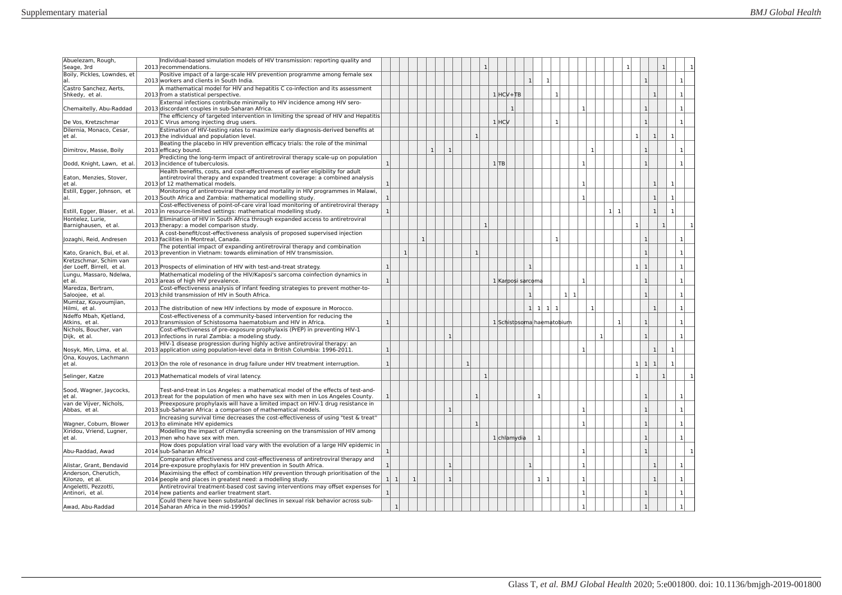| Abuelezam, Rough,<br>Seage, 3rd                      | Individual-based simulation models of HIV transmission: reporting quality and<br>2013 recommendations.                                                                                            |                |              |              |              |              |              |              |              | $\mathbf{1}$ |                           |                |                |                   |              |                     |              |              |     |              |                                |                |                |              |
|------------------------------------------------------|---------------------------------------------------------------------------------------------------------------------------------------------------------------------------------------------------|----------------|--------------|--------------|--------------|--------------|--------------|--------------|--------------|--------------|---------------------------|----------------|----------------|-------------------|--------------|---------------------|--------------|--------------|-----|--------------|--------------------------------|----------------|----------------|--------------|
| Boily, Pickles, Lowndes, et<br>al.                   | Positive impact of a large-scale HIV prevention programme among female sex<br>2013 workers and clients in South India.                                                                            |                |              |              |              |              |              |              |              |              |                           |                | $\mathbf{1}$   | $\mathbf{1}$      |              |                     |              |              |     |              | $\mathbf{1}$                   |                |                |              |
| Castro Sanchez, Aerts,<br>Shkedy, et al.             | A mathematical model for HIV and hepatitis C co-infection and its assessment<br>2013 from a statistical perspective.                                                                              |                |              |              |              |              |              |              |              |              | $1$ $HCV+TB$              |                |                |                   | $\mathbf{1}$ |                     |              |              |     |              |                                | $\overline{1}$ |                |              |
| Chemaitelly, Abu-Raddad                              | External infections contribute minimally to HIV incidence among HIV sero-<br>2013 discordant couples in sub-Saharan Africa.                                                                       |                |              |              |              |              |              |              |              |              |                           | 1 <sup>1</sup> |                |                   |              |                     | $\mathbf{1}$ |              |     |              | $\mathbf{1}$                   |                |                | $\mathbf{1}$ |
| De Vos, Kretzschmar                                  | The efficiency of targeted intervention in limiting the spread of HIV and Hepatitis<br>2013 C Virus among injecting drug users.                                                                   |                |              |              |              |              |              |              |              |              | $1$ $HCV$                 |                |                |                   | $\mathbf{1}$ |                     |              |              |     |              | $\mathbf{1}$                   |                |                | $\mathbf{1}$ |
| Dilernia, Monaco, Cesar,<br>et al.                   | Estimation of HIV-testing rates to maximize early diagnosis-derived benefits at<br>2013 the individual and population level.                                                                      |                |              |              |              |              |              |              | $\mathbf{1}$ |              |                           |                |                |                   |              |                     |              |              |     |              | $\mathbf{1}$                   | $\overline{1}$ | $\mathbf{1}$   |              |
| Dimitrov, Masse, Boily                               | Beating the placebo in HIV prevention efficacy trials: the role of the minimal<br>2013 efficacy bound.                                                                                            |                |              |              |              | $\mathbf{1}$ | $\mathbf{1}$ |              |              |              |                           |                |                |                   |              |                     |              | $\mathbf{1}$ |     |              | $\mathbf{1}$                   |                |                | $\mathbf{1}$ |
| Dodd, Knight, Lawn, et al.                           | Predicting the long-term impact of antiretroviral therapy scale-up on population<br>2013 incidence of tuberculosis.                                                                               | 1              |              |              |              |              |              |              |              |              | 1 TB                      |                |                |                   |              |                     | 1            |              |     |              | $\mathbf{1}$                   |                |                | $\mathbf{1}$ |
| Eaton, Menzies, Stover,<br>et al.                    | Health benefits, costs, and cost-effectiveness of earlier eligibility for adult<br>antiretroviral therapy and expanded treatment coverage: a combined analysis<br>2013 of 12 mathematical models. |                |              |              |              |              |              |              |              |              |                           |                |                |                   |              |                     |              |              |     |              |                                | $\overline{1}$ | $\mathbf{1}$   |              |
| Estill, Egger, Johnson, et<br>al.                    | Monitoring of antiretroviral therapy and mortality in HIV programmes in Malawi,<br>2013 South Africa and Zambia: mathematical modelling study.                                                    | -1             |              |              |              |              |              |              |              |              |                           |                |                |                   |              |                     | $\mathbf{1}$ |              |     |              |                                | $\mathbf{1}$   | -1             |              |
| Estill, Egger, Blaser, et al.                        | Cost-effectiveness of point-of-care viral load monitoring of antiretroviral therapy<br>2013 in resource-limited settings: mathematical modelling study.                                           | $\mathbf{1}$   |              |              |              |              |              |              |              |              |                           |                |                |                   |              |                     |              |              | 1 1 |              |                                | $\mathbf{1}$   | $\overline{1}$ |              |
| Hontelez, Lurie,<br>Barnighausen, et al.             | Elimination of HIV in South Africa through expanded access to antiretroviral<br>2013 therapy: a model comparison study.                                                                           |                |              |              |              |              |              |              |              | $\mathbf{1}$ |                           |                |                |                   |              |                     |              |              |     |              | $\mathbf{1}$                   | $\overline{1}$ |                |              |
| Jozaghi, Reid, Andresen                              | A cost-benefit/cost-effectiveness analysis of proposed supervised injection<br>2013 facilities in Montreal, Canada.                                                                               |                |              |              | $\mathbf{1}$ |              |              |              |              |              |                           |                |                |                   | $\mathbf{1}$ |                     |              |              |     |              | $\mathbf{1}$                   |                |                |              |
| Kato, Granich, Bui, et al.                           | The potential impact of expanding antiretroviral therapy and combination<br>2013 prevention in Vietnam: towards elimination of HIV transmission.                                                  |                |              | $\mathbf{1}$ |              |              |              |              | -1           |              |                           |                |                |                   |              |                     |              |              |     |              | $\mathbf{1}$                   |                |                |              |
| Kretzschmar, Schim van<br>der Loeff, Birrell, et al. | 2013 Prospects of elimination of HIV with test-and-treat strategy.                                                                                                                                | $\mathbf{1}$   |              |              |              |              |              |              |              |              |                           |                | $\mathbf{1}$   |                   |              |                     |              |              |     |              | 1 <sup>1</sup><br>$\mathbf{1}$ |                |                | $\mathbf{1}$ |
| Lungu, Massaro, Ndelwa,<br>et al.                    | Mathematical modeling of the HIV/Kaposi's sarcoma coinfection dynamics in<br>2013 areas of high HIV prevalence.                                                                                   | $\overline{1}$ |              |              |              |              |              |              |              |              | 1 Karposi sarcoma         |                |                |                   |              |                     | $\mathbf{1}$ |              |     |              | $\mathbf{1}$                   |                |                | $\mathbf{1}$ |
| Maredza, Bertram,<br>Saloojee, et al.                | Cost-effectiveness analysis of infant feeding strategies to prevent mother-to-<br>2013 child transmission of HIV in South Africa.                                                                 |                |              |              |              |              |              |              |              |              |                           |                | $\mathbf{1}$   |                   |              | 1<br>$\overline{1}$ |              |              |     |              | $\overline{1}$                 |                |                |              |
| Mumtaz, Kouyoumjian,<br>Hilmi, et al.                | 2013 The distribution of new HIV infections by mode of exposure in Morocco.                                                                                                                       |                |              |              |              |              |              |              |              |              |                           |                |                | $1 \ 1 \ 1$       | 1            |                     | $\mathbf{1}$ |              |     |              |                                | $\mathbf{1}$   |                | $\mathbf{1}$ |
| Ndeffo Mbah, Kjetland,<br>Atkins, et al.             | Cost-effectiveness of a community-based intervention for reducing the<br>2013 transmission of Schistosoma haematobium and HIV in Africa.                                                          | $\mathbf{1}$   |              |              |              |              |              |              |              |              | 1 Schistosoma haematobium |                |                |                   |              |                     |              |              |     | $\mathbf{1}$ | $\mathbf{1}$                   |                |                |              |
| Nichols, Boucher, van<br>Dijk, et al.                | Cost-effectiveness of pre-exposure prophylaxis (PrEP) in preventing HIV-1<br>2013 infections in rural Zambia: a modeling study.                                                                   |                |              |              |              |              | $\mathbf{1}$ |              |              |              |                           |                |                |                   |              |                     |              | $\mathbf{1}$ |     |              | $\mathbf{1}$                   |                |                |              |
| Nosyk, Min, Lima, et al.                             | HIV-1 disease progression during highly active antiretroviral therapy: an<br>2013 application using population-level data in British Columbia: 1996-2011.                                         |                |              |              |              |              |              |              |              |              |                           |                |                |                   |              |                     |              |              |     |              |                                | $\mathbf{1}$   |                |              |
| Ona, Kouyos, Lachmann<br>et al.                      | 2013 On the role of resonance in drug failure under HIV treatment interruption.                                                                                                                   | $\mathbf{1}$   |              |              |              |              |              | $\mathbf{1}$ |              |              |                           |                |                |                   |              |                     |              |              |     |              | 1<br>1 <sup>1</sup>            | $\mathbf{1}$   | $\mathbf{1}$   |              |
| Selinger, Katze                                      | 2013 Mathematical models of viral latency.                                                                                                                                                        |                |              |              |              |              |              |              |              | $\mathbf{1}$ |                           |                |                |                   |              |                     |              |              |     |              |                                |                |                |              |
| Sood, Wagner, Jaycocks,<br>et al.                    | Test-and-treat in Los Angeles: a mathematical model of the effects of test-and-<br>2013 treat for the population of men who have sex with men in Los Angeles County.                              |                |              |              |              |              |              |              |              |              |                           |                |                | 1                 |              |                     |              |              |     |              | $\mathbf{1}$                   |                |                |              |
| van de Viiver. Nichols.<br>Abbas, et al.             | Preexposure prophylaxis will have a limited impact on HIV-1 drug resistance in<br>2013 sub-Saharan Africa: a comparison of mathematical models.                                                   |                |              |              |              |              | $\mathbf{1}$ |              |              |              |                           |                |                |                   |              |                     | $\mathbf{1}$ |              |     |              | $\mathbf{1}$                   |                |                | $\mathbf{1}$ |
| Wagner, Coburn, Blower                               | Increasing survival time decreases the cost-effectiveness of using "test & treat"<br>2013 to eliminate HIV epidemics                                                                              |                |              |              |              |              |              |              | $\mathbf{1}$ |              |                           |                |                |                   |              |                     | 1            |              |     |              | $\mathbf{1}$                   |                |                | $\mathbf{1}$ |
| Xiridou, Vriend, Lugner,<br>et al.                   | Modelling the impact of chlamydia screening on the transmission of HIV among<br>2013 men who have sex with men.                                                                                   |                |              |              |              |              |              |              |              |              | 1 chlamvdia               |                |                | $\mathbf{1}$      |              |                     |              |              |     |              | $\mathbf{1}$                   |                |                | $\mathbf{1}$ |
| Abu-Raddad, Awad                                     | How does population viral load vary with the evolution of a large HIV epidemic in<br>2014 sub-Saharan Africa?                                                                                     | 1              |              |              |              |              |              |              |              |              |                           |                |                |                   |              |                     | $\mathbf{1}$ |              |     |              | $\mathbf{1}$                   |                |                | $\mathbf{1}$ |
| Alistar, Grant, Bendavid                             | Comparative effectiveness and cost-effectiveness of antiretroviral therapy and<br>2014 pre-exposure prophylaxis for HIV prevention in South Africa.                                               | $\mathbf{1}$   |              |              |              |              | $\mathbf{1}$ |              |              |              |                           |                | 1 <sup>1</sup> |                   |              |                     | $\mathbf{1}$ |              |     |              |                                | $\mathbf{1}$   |                | $\mathbf{1}$ |
| Anderson, Cherutich.<br>Kilonzo, et al.              | Maximising the effect of combination HIV prevention through prioritisation of the<br>2014 people and places in greatest need: a modelling study.                                                  | -11            | -1           | -1           |              |              | $\mathbf{1}$ |              |              |              |                           |                |                | 1<br>$\mathbf{1}$ |              |                     | 1            |              |     |              |                                | $\mathbf{1}$   |                | -1           |
| Angeletti, Pezzotti,<br>Antinori, et al.             | Antiretroviral treatment-based cost saving interventions may offset expenses for<br>2014 new patients and earlier treatment start.                                                                | $\mathbf{1}$   |              |              |              |              |              |              |              |              |                           |                |                |                   |              |                     | $\mathbf{1}$ |              |     |              | $\mathbf{1}$                   |                |                | $\mathbf{1}$ |
| Awad, Abu-Raddad                                     | Could there have been substantial declines in sexual risk behavior across sub-<br>2014 Saharan Africa in the mid-1990s?                                                                           |                | $\mathbf{1}$ |              |              |              |              |              |              |              |                           |                |                |                   |              |                     |              |              |     |              | $\mathbf{1}$                   |                |                |              |
|                                                      |                                                                                                                                                                                                   |                |              |              |              |              |              |              |              |              |                           |                |                |                   |              |                     |              |              |     |              |                                |                |                |              |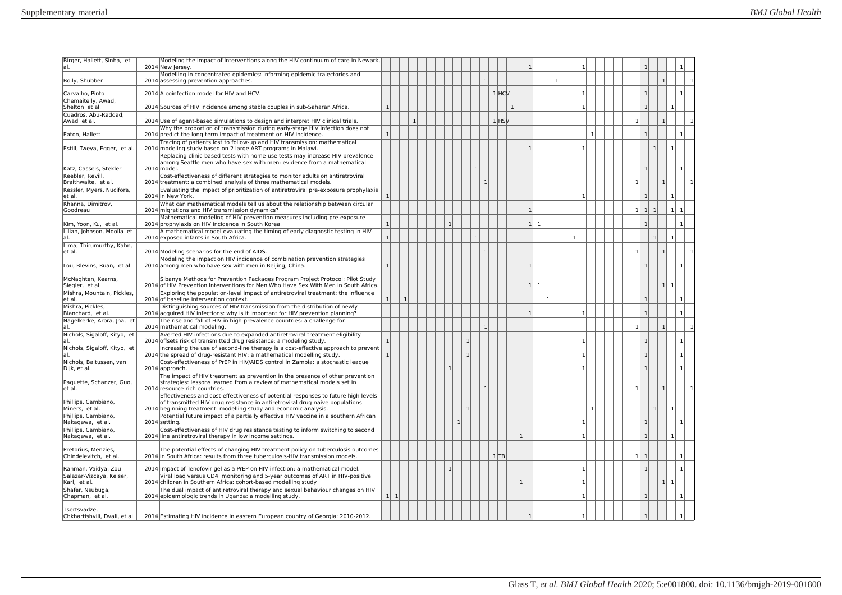| Birger, Hallett, Sinha, et<br>lal.                     | Modeling the impact of interventions along the HIV continuum of care in Newark,<br>2014 New Jersey.                                                                                                                                  |              |              |   |  |              |                |              |           |                |                                |                                 |              |  |                              |                |                |  |
|--------------------------------------------------------|--------------------------------------------------------------------------------------------------------------------------------------------------------------------------------------------------------------------------------------|--------------|--------------|---|--|--------------|----------------|--------------|-----------|----------------|--------------------------------|---------------------------------|--------------|--|------------------------------|----------------|----------------|--|
| Boily, Shubber                                         | Modelling in concentrated epidemics: informing epidemic trajectories and<br>2014 assessing prevention approaches.                                                                                                                    |              |              |   |  |              |                | $\mathbf{1}$ |           |                | $1\vert$                       | $\vert 1 \vert$<br>$\mathbf{1}$ |              |  |                              | $\mathbf{1}$   |                |  |
| Carvalho, Pinto                                        | 2014 A coinfection model for HIV and HCV.                                                                                                                                                                                            |              |              |   |  |              |                |              | $1$ $HCV$ |                |                                |                                 | $\mathbf{1}$ |  | $\overline{1}$               |                | $\mathbf{1}$   |  |
| Chemaitelly, Awad,<br>Shelton et al.                   | 2014 Sources of HIV incidence among stable couples in sub-Saharan Africa.                                                                                                                                                            | $\mathbf{1}$ |              |   |  |              |                |              | 1         |                |                                |                                 | -1           |  | $\mathbf{1}$                 |                |                |  |
| Cuadros, Abu-Raddad,<br>Awad et al.                    | 2014 Use of agent-based simulations to design and interpret HIV clinical trials.                                                                                                                                                     |              |              | 1 |  |              |                |              | $1$ $HSV$ |                |                                |                                 |              |  | $\mathbf{1}$                 | $\mathbf{1}$   |                |  |
| Eaton, Hallett                                         | Why the proportion of transmission during early-stage HIV infection does not<br>2014 predict the long-term impact of treatment on HIV incidence.                                                                                     | $\mathbf{1}$ |              |   |  |              |                |              |           |                |                                |                                 | $\mathbf{1}$ |  | $\mathbf{1}$                 |                | $\mathbf{1}$   |  |
| Estill, Tweya, Egger, et al.                           | Tracing of patients lost to follow-up and HIV transmission: mathematical<br>2014 modeling study based on 2 large ART programs in Malawi.                                                                                             |              |              |   |  |              |                |              |           |                | $\mathbf{1}$                   |                                 | $\mathbf{1}$ |  |                              | $\mathbf{1}$   | $\mathbf{1}$   |  |
| Katz, Cassels, Stekler                                 | Replacing clinic-based tests with home-use tests may increase HIV prevalence<br>among Seattle men who have sex with men: evidence from a mathematical<br>2014 model.                                                                 |              |              |   |  |              |                | $\mathbf{1}$ |           |                | $\mathbf{1}$                   |                                 |              |  | $\overline{1}$               |                |                |  |
| Keebler, Revill,<br>Braithwaite, et al.                | Cost-effectiveness of different strategies to monitor adults on antiretroviral<br>2014 treatment: a combined analysis of three mathematical models.                                                                                  |              |              |   |  |              |                | $\mathbf{1}$ |           |                |                                |                                 |              |  | $\mathbf{1}$                 | 1 <sup>1</sup> |                |  |
| Kessler, Myers, Nucifora,<br>et al.                    | Evaluating the impact of prioritization of antiretroviral pre-exposure prophylaxis<br>2014 in New York.                                                                                                                              | $\mathbf{1}$ |              |   |  |              |                |              |           |                |                                |                                 | $\mathbf{1}$ |  | $\mathbf{1}$                 |                | $\mathbf{1}$   |  |
| Khanna, Dimitrov,<br>Goodreau                          | What can mathematical models tell us about the relationship between circular<br>2014 migrations and HIV transmission dynamics?                                                                                                       |              |              |   |  |              |                |              |           |                | $\mathbf{1}$                   |                                 |              |  | 1<br> 1                      |                | 1 <sup>1</sup> |  |
| Kim, Yoon, Ku, et al.                                  | Mathematical modeling of HIV prevention measures including pre-exposure<br>2014 prophylaxis on HIV incidence in South Korea.                                                                                                         | $\mathbf{1}$ |              |   |  | $\mathbf{1}$ |                |              |           |                | 1 <sup>1</sup><br>$\mathbf{1}$ |                                 |              |  | $\overline{1}$               |                |                |  |
| Lilian, Johnson, Moolla et<br>al.                      | A mathematical model evaluating the timing of early diagnostic testing in HIV-<br>2014 exposed infants in South Africa.                                                                                                              | $\mathbf{1}$ |              |   |  |              |                | $\mathbf{1}$ |           |                |                                |                                 |              |  |                              | $\mathbf{1}$   |                |  |
| Lima, Thirumurthy, Kahn,                               |                                                                                                                                                                                                                                      |              |              |   |  |              |                |              |           |                |                                |                                 |              |  |                              |                |                |  |
| et al.                                                 | 2014 Modeling scenarios for the end of AIDS.<br>Modeling the impact on HIV incidence of combination prevention strategies                                                                                                            |              |              |   |  |              |                | 1            |           |                | $\overline{1}$                 |                                 |              |  | $\mathbf{1}$<br>$\mathbf{1}$ | $\mathbf{1}$   |                |  |
| Lou, Blevins, Ruan, et al.<br>McNaghten, Kearns,       | 2014 among men who have sex with men in Beijing, China.<br>Sibanye Methods for Prevention Packages Program Project Protocol: Pilot Study                                                                                             | $\mathbf{1}$ |              |   |  |              |                |              |           |                | 1                              |                                 |              |  |                              |                | $\mathbf{1}$   |  |
| Siegler, et al.<br>Mishra, Mountain, Pickles,          | 2014 of HIV Prevention Interventions for Men Who Have Sex With Men in South Africa.<br>Exploring the population-level impact of antiretroviral treatment: the influence                                                              |              |              |   |  |              |                |              |           |                | 1<br>$\mathbf{1}$              |                                 |              |  |                              | 1 <sup>1</sup> |                |  |
| et al.<br>Mishra, Pickles,                             | 2014 of baseline intervention context.<br>Distinguishing sources of HIV transmission from the distribution of newly                                                                                                                  | 1            | $\mathbf{1}$ |   |  |              |                |              |           |                |                                | $\overline{1}$                  |              |  | $\mathbf{1}$                 |                |                |  |
| Blanchard, et al.<br>Nagelkerke, Arora, Jha, et<br>al. | 2014 acquired HIV infections: why is it important for HIV prevention planning?<br>The rise and fall of HIV in high-prevalence countries: a challenge for<br>2014 mathematical modeling.                                              |              |              |   |  |              |                | $\mathbf{1}$ |           |                | $\mathbf{1}$                   |                                 | $\mathbf{1}$ |  | $\mathbf{1}$<br>$\mathbf{1}$ | $\mathbf{1}$   | -1             |  |
| Nichols, Sigaloff, Kityo, et<br>al.                    | Averted HIV infections due to expanded antiretroviral treatment eligibility<br>2014 offsets risk of transmitted drug resistance: a modeling study.                                                                                   | $\mathbf{1}$ |              |   |  |              | $\mathbf{1}$   |              |           |                |                                |                                 | $\mathbf{1}$ |  | $\mathbf{1}$                 |                | $\mathbf{1}$   |  |
| Nichols, Sigaloff, Kityo, et<br>al                     | Increasing the use of second-line therapy is a cost-effective approach to prevent<br>2014 the spread of drug-resistant HIV: a mathematical modelling study.                                                                          | $\mathbf{1}$ |              |   |  |              | $\mathbf{1}$   |              |           |                |                                |                                 | $\mathbf{1}$ |  | $\mathbf{1}$                 |                |                |  |
| Nichols, Baltussen, van<br>Dijk, et al.                | Cost-effectiveness of PrEP in HIV/AIDS control in Zambia: a stochastic league<br>2014 approach.                                                                                                                                      |              |              |   |  | $\mathbf{1}$ |                |              |           |                |                                |                                 |              |  | $\overline{1}$               |                |                |  |
| Paquette, Schanzer, Guo,<br>et al.                     | The impact of HIV treatment as prevention in the presence of other prevention<br>strategies: lessons learned from a review of mathematical models set in<br>2014 resource-rich countries.                                            |              |              |   |  |              |                |              |           |                |                                |                                 |              |  | $\mathbf{1}$                 |                |                |  |
| Phillips, Cambiano,<br>Miners, et al.                  | Effectiveness and cost-effectiveness of potential responses to future high levels<br>of transmitted HIV drug resistance in antiretroviral drug-naive populations<br>2014 beginning treatment: modelling study and economic analysis. |              |              |   |  |              | $\overline{1}$ |              |           |                |                                |                                 | $\mathbf{1}$ |  |                              | $\mathbf{1}$   |                |  |
| Phillips, Cambiano,<br>Nakagawa, et al.                | Potential future impact of a partially effective HIV vaccine in a southern African<br>2014 setting.                                                                                                                                  |              |              |   |  | $\mathbf{1}$ |                |              |           |                |                                |                                 | -1           |  | $\mathbf{1}$                 |                |                |  |
| Phillips, Cambiano,<br>Nakagawa, et al.                | Cost-effectiveness of HIV drug resistance testing to inform switching to second<br>2014 line antiretroviral therapy in low income settings.                                                                                          |              |              |   |  |              |                |              |           | $\mathbf{1}$   |                                |                                 | $\mathbf{1}$ |  | $\mathbf{1}$                 |                | $\mathbf{1}$   |  |
|                                                        |                                                                                                                                                                                                                                      |              |              |   |  |              |                |              |           |                |                                |                                 |              |  |                              |                |                |  |
| Pretorius, Menzies,<br>Chindelevitch. et al.           | The potential effects of changing HIV treatment policy on tuberculosis outcomes<br>2014 in South Africa: results from three tuberculosis-HIV transmission models.                                                                    |              |              |   |  |              |                |              | $1$ TB    |                |                                |                                 |              |  | $\mathbf{1}$<br>-1           |                |                |  |
| Rahman, Vaidya, Zou<br>Salazar-Vizcaya, Keiser,        | 2014 Impact of Tenofovir gel as a PrEP on HIV infection: a mathematical model.<br>Viral load versus CD4 monitoring and 5-year outcomes of ART in HIV-positive                                                                        |              |              |   |  | $\mathbf{1}$ |                |              |           |                |                                |                                 | $\mathbf{1}$ |  | $\mathbf{1}$                 |                | $\mathbf{1}$   |  |
| Karl, et al.                                           | 2014 children in Southern Africa: cohort-based modelling study                                                                                                                                                                       |              |              |   |  |              |                |              |           | 1 <sup>1</sup> |                                |                                 | $\mathbf{1}$ |  |                              |                | $1 \vert 1$    |  |
| Shafer, Nsubuga,<br>Chapman, et al.                    | The dual impact of antiretroviral therapy and sexual behaviour changes on HIV<br>2014 epidemiologic trends in Uganda: a modelling study.                                                                                             | 1 1          |              |   |  |              |                |              |           |                |                                |                                 | $\mathbf{1}$ |  | $\mathbf{1}$                 |                |                |  |
| Tsertsvadze,<br>Chkhartishvili. Dvali, et al.          | 2014 Estimating HIV incidence in eastern European country of Georgia: 2010-2012.                                                                                                                                                     |              |              |   |  |              |                |              |           |                |                                |                                 |              |  |                              |                |                |  |
|                                                        |                                                                                                                                                                                                                                      |              |              |   |  |              |                |              |           |                |                                |                                 |              |  |                              |                |                |  |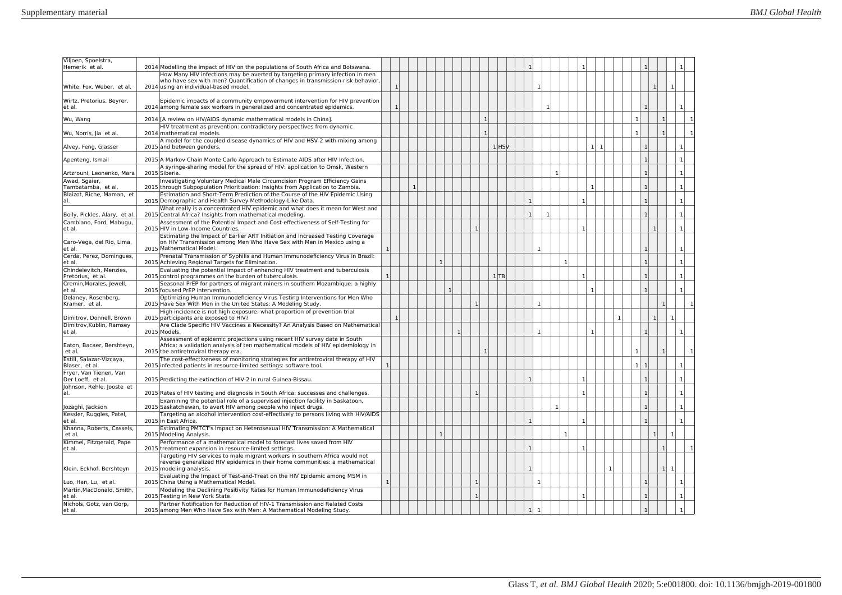| Viljoen, Spoelstra,                             |                                                                                                                                                                                                          |              |              |              |              |              |                |         |              |              |              |                |              |              |              |              |                      |              |                |                |
|-------------------------------------------------|----------------------------------------------------------------------------------------------------------------------------------------------------------------------------------------------------------|--------------|--------------|--------------|--------------|--------------|----------------|---------|--------------|--------------|--------------|----------------|--------------|--------------|--------------|--------------|----------------------|--------------|----------------|----------------|
| Hemerik et al.                                  | 2014 Modelling the impact of HIV on the populations of South Africa and Botswana.                                                                                                                        |              |              |              |              |              |                |         | $\mathbf{1}$ |              |              |                |              |              |              |              | $\mathbf{1}$         |              |                |                |
| White, Fox, Weber, et al.                       | How Many HIV infections may be averted by targeting primary infection in men<br>who have sex with men? Quantification of changes in transmission-risk behavior,<br>2014 using an individual-based model. |              | $\mathbf{1}$ |              |              |              |                |         |              |              |              |                |              |              |              |              |                      | $\mathbf{1}$ |                |                |
| Wirtz, Pretorius, Beyrer,<br>et al.             | Epidemic impacts of a community empowerment intervention for HIV prevention<br>2014 among female sex workers in generalized and concentrated epidemics.                                                  |              | $\mathbf{1}$ |              |              |              |                |         |              | $\mathbf{1}$ |              |                |              |              |              |              | $\overline{1}$       |              |                |                |
| Wu, Wang                                        | 2014 [A review on HIV/AIDS dynamic mathematical models in China].                                                                                                                                        |              |              |              |              |              | $\overline{1}$ |         |              |              |              |                |              |              |              |              | $\mathbf{1}$         |              | $\mathbf{1}$   |                |
| Wu, Norris, Jia et al.                          | HIV treatment as prevention: contradictory perspectives from dynamic<br>2014 mathematical models.                                                                                                        |              |              |              |              |              | $\mathbf{1}$   |         |              |              |              |                |              |              |              |              | $\mathbf{1}$         |              | 1 <sup>1</sup> |                |
| Alvey, Feng, Glasser                            | A model for the coupled disease dynamics of HIV and HSV-2 with mixing among<br>2015 and between genders.                                                                                                 |              |              |              |              |              |                | $1$ HSV |              |              |              |                |              | $1 \vert 1$  |              |              | $\mathbf{1}$         |              |                | $\mathbf{1}$   |
| Apenteng, Ismail                                | 2015 A Markov Chain Monte Carlo Approach to Estimate AIDS after HIV Infection.                                                                                                                           |              |              |              |              |              |                |         |              |              |              |                |              |              |              |              | $\mathbf{1}$         |              |                | $\overline{1}$ |
|                                                 | A syringe-sharing model for the spread of HIV: application to Omsk, Western                                                                                                                              |              |              |              |              |              |                |         |              |              | $\mathbf{1}$ |                |              |              |              |              | $\mathbf{1}$         |              |                |                |
| Artzrouni, Leonenko, Mara<br>Awad, Sgaier,      | 2015 Siberia.<br>Investigating Voluntary Medical Male Circumcision Program Efficiency Gains                                                                                                              |              |              |              |              |              |                |         |              |              |              |                |              |              |              |              |                      |              |                | -1             |
| Tambatamba, et al.<br>Blaizot, Riche, Maman, et | 2015 through Subpopulation Prioritization: Insights from Application to Zambia.<br>Estimation and Short-Term Prediction of the Course of the HIV Epidemic Using                                          |              |              | $\mathbf{1}$ |              |              |                |         |              |              |              |                |              | $\mathbf{1}$ |              |              | $\mathbf{1}$         |              |                | $\mathbf{1}$   |
| lal.                                            | 2015 Demographic and Health Survey Methodology-Like Data.                                                                                                                                                |              |              |              |              |              |                |         | $\mathbf{1}$ |              |              |                | $\mathbf{1}$ |              |              |              | $\mathbf{1}$         |              |                | $\mathbf{1}$   |
| Boily, Pickles, Alary, et al                    | What really is a concentrated HIV epidemic and what does it mean for West and<br>2015 Central Africa? Insights from mathematical modeling.                                                               |              |              |              |              |              |                |         | $\mathbf{1}$ |              | $\mathbf{1}$ |                |              |              |              |              | $\overline{1}$       |              |                | $\mathbf{1}$   |
| Cambiano, Ford, Mabugu,<br>et al.               | Assessment of the Potential Impact and Cost-effectiveness of Self-Testing for<br>2015 HIV in Low-Income Countries.                                                                                       |              |              |              |              |              |                |         |              |              |              |                | -1           |              |              |              |                      |              |                | -1             |
| Caro-Vega, del Rio, Lima,<br>et al.             | Estimating the Impact of Earlier ART Initiation and Increased Testing Coverage<br>on HIV Transmission among Men Who Have Sex with Men in Mexico using a<br>2015 Mathematical Model.                      |              |              |              |              |              |                |         |              | $\mathbf{1}$ |              |                |              |              |              |              | $\mathbf{1}$         |              |                |                |
| Cerda, Perez, Domingues,<br>et al.              | Prenatal Transmission of Syphilis and Human Immunodeficiency Virus in Brazil:<br>2015 Achieving Regional Targets for Elimination.                                                                        |              |              |              | $\mathbf{1}$ |              |                |         |              |              |              | $\overline{1}$ |              |              |              |              | $\mathbf{1}$         |              |                | $\mathbf{1}$   |
| Chindelevitch, Menzies,<br>Pretorius, et al.    | Evaluating the potential impact of enhancing HIV treatment and tuberculosis<br>2015 control programmes on the burden of tuberculosis.                                                                    | $\mathbf{1}$ |              |              |              |              |                | 1 TB    |              |              |              |                | $\mathbf{1}$ |              |              |              | $\mathbf{1}$         |              |                |                |
| Cremin, Morales, Jewell,<br>et al.              | Seasonal PrEP for partners of migrant miners in southern Mozambique: a highly<br>2015 focused PrEP intervention.                                                                                         |              |              |              |              | $\mathbf{1}$ |                |         |              |              |              |                |              | $\mathbf{1}$ |              |              | $\mathbf{1}$         |              |                |                |
| Delaney, Rosenberg,<br>Kramer, et al.           | Optimizing Human Immunodeficiency Virus Testing Interventions for Men Who<br>2015 Have Sex With Men in the United States: A Modeling Study.                                                              |              |              |              |              |              |                |         |              | $\mathbf{1}$ |              |                |              |              |              |              |                      |              | $\mathbf{1}$   |                |
| Dimitrov. Donnell. Brown                        | High incidence is not high exposure: what proportion of prevention trial<br>2015 participants are exposed to HIV?                                                                                        |              | $\mathbf{1}$ |              |              |              |                |         |              |              |              |                |              |              |              | $\mathbf{1}$ |                      | $\mathbf{1}$ |                |                |
| Dimitrov, Kublin, Ramsey<br>et al.              | Are Clade Specific HIV Vaccines a Necessity? An Analysis Based on Mathematical<br>2015 Models.                                                                                                           |              |              |              |              | $\mathbf{1}$ |                |         |              | $\mathbf{1}$ |              |                |              | $\mathbf{1}$ |              |              | $\mathbf{1}$         |              |                |                |
| Eaton, Bacaer, Bershteyn,<br>et al.             | Assessment of epidemic projections using recent HIV survey data in South<br>Africa: a validation analysis of ten mathematical models of HIV epidemiology in<br>2015 the antiretroviral therapy era.      |              |              |              |              |              |                |         |              |              |              |                |              |              |              |              | $\mathbf{1}$         |              |                |                |
| Estill, Salazar-Vizcaya,<br>Blaser, et al.      | The cost-effectiveness of monitoring strategies for antiretroviral therapy of HIV<br>2015 infected patients in resource-limited settings: software tool.                                                 |              |              |              |              |              |                |         |              |              |              |                |              |              |              |              | 1 <sup>1</sup><br>-1 |              |                |                |
| Fryer, Van Tienen, Van<br>Der Loeff, et al.     | 2015 Predicting the extinction of HIV-2 in rural Guinea-Bissau.                                                                                                                                          |              |              |              |              |              |                |         | $\mathbf{1}$ |              |              |                | $\mathbf{1}$ |              |              |              | $\overline{1}$       |              |                |                |
| Johnson, Rehle, Jooste et<br>lal.               | 2015 Rates of HIV testing and diagnosis in South Africa: successes and challenges.                                                                                                                       |              |              |              |              |              |                |         |              |              |              |                | $\mathbf{1}$ |              |              |              | $\mathbf{1}$         |              |                | -1             |
| Jozaghi, Jackson                                | Examining the potential role of a supervised injection facility in Saskatoon,<br>2015 Saskatchewan, to avert HIV among people who inject drugs.                                                          |              |              |              |              |              |                |         |              |              | $\mathbf{1}$ |                |              |              |              |              | $\overline{1}$       |              |                |                |
| Kessler, Ruggles, Patel,<br>et al.              | Targeting an alcohol intervention cost-effectively to persons living with HIV/AIDS<br>2015 in East Africa.                                                                                               |              |              |              |              |              |                |         | $\mathbf{1}$ |              |              |                | $\mathbf{1}$ |              |              |              | $\mathbf{1}$         |              |                | $\mathbf{1}$   |
| Khanna, Roberts, Cassels,<br>et al.             | Estimating PMTCT's Impact on Heterosexual HIV Transmission: A Mathematical<br>2015 Modeling Analysis.                                                                                                    |              |              |              | $\mathbf{1}$ |              |                |         |              |              |              | $\overline{1}$ |              |              |              |              |                      | $\mathbf{1}$ | $\mathbf{1}$   |                |
| Kimmel, Fitzgerald, Pape<br>et al.              | Performance of a mathematical model to forecast lives saved from HIV<br>2015 treatment expansion in resource-limited settings.                                                                           |              |              |              |              |              |                |         | $\mathbf{1}$ |              |              |                | $\mathbf{1}$ |              |              |              |                      |              | $\mathbf{1}$   |                |
| Klein, Eckhof, Bershteyn                        | Targeting HIV services to male migrant workers in southern Africa would not<br>reverse generalized HIV epidemics in their home communities: a mathematical<br>2015 modeling analysis.                    |              |              |              |              |              |                |         | $\mathbf{1}$ |              |              |                |              |              | $\mathbf{1}$ |              |                      |              | 1<br>-1        |                |
| Luo, Han, Lu, et al.                            | Evaluating the Impact of Test-and-Treat on the HIV Epidemic among MSM in<br>2015 China Using a Mathematical Model.                                                                                       | 1            |              |              |              |              | -1             |         |              | $\mathbf{1}$ |              |                |              |              |              |              | $\mathbf{1}$         |              |                |                |
| Martin, MacDonald, Smith,<br>et al.             | Modeling the Declining Positivity Rates for Human Immunodeficiency Virus<br>2015 Testing in New York State.                                                                                              |              |              |              |              |              | $\mathbf{1}$   |         |              |              |              |                | 1            |              |              |              | $\mathbf{1}$         |              |                | $\overline{1}$ |
| Nichols, Gotz, van Gorp,<br>et al.              | Partner Notification for Reduction of HIV-1 Transmission and Related Costs<br>2015 among Men Who Have Sex with Men: A Mathematical Modeling Study.                                                       |              |              |              |              |              |                |         | 1            | 1            |              |                |              |              |              |              |                      |              |                |                |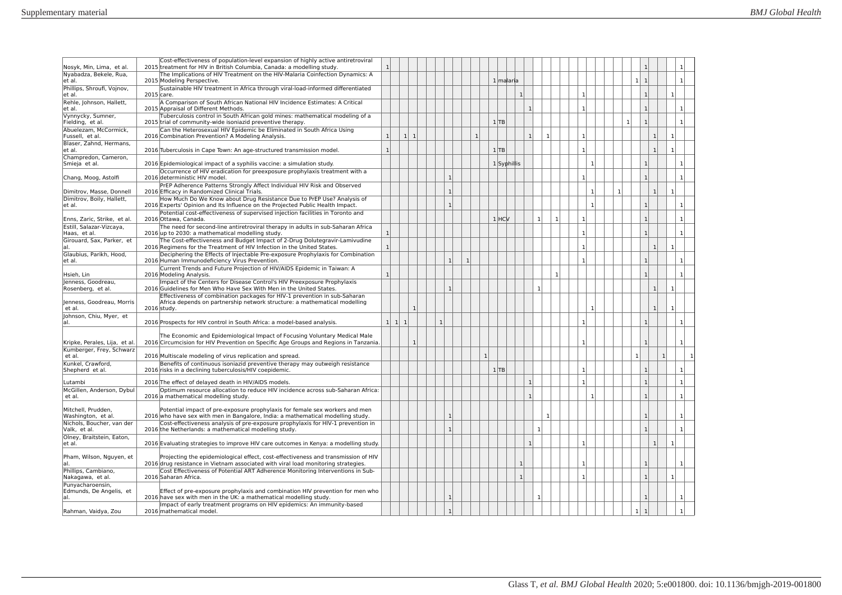| Nosyk, Min, Lima, et al.                            | Cost-effectiveness of population-level expansion of highly active antiretroviral<br>2015 treatment for HIV in British Columbia, Canada: a modelling study.             | $\mathbf{1}$        |              |              |              |              |              |              |           |              |              |              |              |              |                |              |              | -1                             |                |              |              |
|-----------------------------------------------------|------------------------------------------------------------------------------------------------------------------------------------------------------------------------|---------------------|--------------|--------------|--------------|--------------|--------------|--------------|-----------|--------------|--------------|--------------|--------------|--------------|----------------|--------------|--------------|--------------------------------|----------------|--------------|--------------|
| Nyabadza, Bekele, Rua,<br>et al.                    | The Implications of HIV Treatment on the HIV-Malaria Coinfection Dynamics: A<br>2015 Modeling Perspective.                                                             |                     |              |              |              |              |              |              | 1 malaria |              |              |              |              |              |                |              |              | $\mathbf{1}$<br>$\mathbf{1}$   |                |              |              |
| Phillips, Shroufi, Vojnov,<br>et al.                | Sustainable HIV treatment in Africa through viral-load-informed differentiated<br>2015 care.                                                                           |                     |              |              |              |              |              |              |           | $\mathbf{1}$ |              |              |              | $\mathbf{1}$ |                |              |              | $\mathbf{1}$                   |                | $\mathbf{1}$ |              |
| Rehle, Johnson, Hallett,<br>et al.                  | A Comparison of South African National HIV Incidence Estimates: A Critical<br>2015 Appraisal of Different Methods.                                                     |                     |              |              |              |              |              |              |           |              | $\mathbf{1}$ |              |              | $\mathbf{1}$ |                |              |              | $\mathbf{1}$                   |                | -1           |              |
| Vynnycky, Sumner,<br>Fielding, et al.               | Tuberculosis control in South African gold mines: mathematical modeling of a<br>2015 trial of community-wide isoniazid preventive therapy.                             |                     |              |              |              |              |              |              | 1 TB      |              |              |              |              |              |                |              | $\mathbf{1}$ | $\overline{1}$                 |                | $\mathbf{1}$ |              |
| Abuelezam. McCormick.<br>Fussell, et al.            | Can the Heterosexual HIV Epidemic be Eliminated in South Africa Using<br>2016 Combination Prevention? A Modeling Analysis.                                             | $\mathbf{1}$        | $1 \vert 1$  |              |              |              | $\mathbf{1}$ |              |           |              | $\mathbf{1}$ | 1            |              | $\mathbf{1}$ |                |              |              |                                | 1 <sup>1</sup> | $\mathbf{1}$ |              |
| Blaser, Zahnd, Hermans,<br>et al.                   | 2016 Tuberculosis in Cape Town: An age-structured transmission model.                                                                                                  | $\mathbf{1}$        |              |              |              |              |              |              | $1$ TB    |              |              |              |              | $\mathbf{1}$ |                |              |              |                                | $\mathbf{1}$   | $\mathbf{1}$ |              |
| Champredon, Cameron,<br>Smieja et al.               | 2016 Epidemiological impact of a syphilis vaccine: a simulation study.                                                                                                 |                     |              |              |              |              |              |              |           | 1 Syphillis  |              |              |              |              | $\overline{1}$ |              |              | $\mathbf{1}$                   |                | $\mathbf{1}$ |              |
| Chang, Moog, Astolfi                                | Occurrence of HIV eradication for preexposure prophylaxis treatment with a<br>2016 deterministic HIV model.                                                            |                     |              |              | $\mathbf{1}$ |              |              |              |           |              |              |              |              | $\mathbf{1}$ |                |              |              | $\overline{1}$                 |                | $\mathbf{1}$ |              |
| Dimitrov, Masse, Donnell                            | PrEP Adherence Patterns Strongly Affect Individual HIV Risk and Observed<br>2016 Efficacy in Randomized Clinical Trials.                                               |                     |              |              | $\mathbf{1}$ |              |              |              |           |              |              |              |              |              | $\overline{1}$ | $\mathbf{1}$ |              |                                | $\mathbf{1}$   |              |              |
| Dimitrov, Boily, Hallett,<br>et al.                 | How Much Do We Know about Drug Resistance Due to PrEP Use? Analysis of<br>2016 Experts' Opinion and Its Influence on the Projected Public Health Impact.               |                     |              |              | $\mathbf{1}$ |              |              |              |           |              |              |              |              |              | $\mathbf{1}$   |              |              | $\mathbf{1}$                   |                |              |              |
| Enns, Zaric, Strike, et al.                         | Potential cost-effectiveness of supervised injection facilities in Toronto and<br>2016 Ottawa, Canada.                                                                 |                     |              |              |              |              |              |              | $1$ $HCV$ |              |              | $\mathbf{1}$ | 1            | $\mathbf{1}$ |                |              |              |                                |                |              |              |
| Estill, Salazar-Vizcaya,<br>Haas, et al.            | The need for second-line antiretroviral therapy in adults in sub-Saharan Africa<br>2016 up to 2030: a mathematical modelling study.                                    | $\mathbf{1}$        |              |              |              |              |              |              |           |              |              |              |              | $\mathbf{1}$ |                |              |              |                                |                | $\mathbf{1}$ |              |
| Girouard, Sax, Parker, et<br>al                     | The Cost-effectiveness and Budget Impact of 2-Drug Dolutegravir-Lamivudine<br>2016 Regimens for the Treatment of HIV Infection in the United States.                   | $\mathbf{1}$        |              |              |              |              |              |              |           |              |              |              |              | $\mathbf{1}$ |                |              |              |                                | $\overline{1}$ |              |              |
| Glaubius, Parikh, Hood,<br>et al.                   | Deciphering the Effects of Injectable Pre-exposure Prophylaxis for Combination<br>2016 Human Immunodeficiency Virus Prevention.                                        |                     |              |              | $\mathbf{1}$ | $\mathbf{1}$ |              |              |           |              |              |              |              | $\mathbf{1}$ |                |              |              | $\mathbf{1}$                   |                |              |              |
| Hsieh, Lin                                          | Current Trends and Future Projection of HIV/AIDS Epidemic in Taiwan: A<br>2016 Modeling Analysis.                                                                      | $\mathbf{1}$        |              |              |              |              |              |              |           |              |              |              | $\mathbf{1}$ |              |                |              |              | $\overline{1}$                 |                | $\mathbf{1}$ |              |
| Jenness, Goodreau,<br>Rosenberg, et al.             | Impact of the Centers for Disease Control's HIV Preexposure Prophylaxis<br>2016 Guidelines for Men Who Have Sex With Men in the United States.                         |                     |              |              | $\mathbf{1}$ |              |              |              |           |              | $\mathbf{1}$ |              |              |              |                |              |              |                                | $\mathbf{1}$   | $\mathbf{1}$ |              |
| Jenness, Goodreau, Morris                           | Effectiveness of combination packages for HIV-1 prevention in sub-Saharan<br>Africa depends on partnership network structure: a mathematical modelling                 |                     |              |              |              |              |              |              |           |              |              |              |              |              |                |              |              |                                |                |              |              |
| et al.<br>Johnson, Chiu, Myer, et                   | 2016 study.                                                                                                                                                            |                     |              |              |              |              |              |              |           |              |              |              |              |              | $\mathbf{1}$   |              |              |                                | $\mathbf{1}$   |              |              |
| al.                                                 | 2016 Prospects for HIV control in South Africa: a model-based analysis.                                                                                                | $1 \vert 1 \vert 1$ |              | $\mathbf{1}$ |              |              |              |              |           |              |              |              |              | -1           |                |              |              | $\mathbf{1}$                   |                |              |              |
| Kripke, Perales, Lija, et al.                       | The Economic and Epidemiological Impact of Focusing Voluntary Medical Male<br>2016 Circumcision for HIV Prevention on Specific Age Groups and Regions in Tanzania.     |                     | $\mathbf{1}$ |              |              |              |              |              |           |              |              |              |              | $\mathbf{1}$ |                |              |              | $\overline{1}$                 |                | $\mathbf{1}$ |              |
| Kumberger, Frey, Schwarz<br>et al.                  | 2016 Multiscale modeling of virus replication and spread.                                                                                                              |                     |              |              |              |              |              | $\mathbf{1}$ |           |              |              |              |              |              |                |              |              | $\mathbf{1}$                   | 1              |              |              |
| Kunkel, Crawford,<br>Shepherd et al.                | Benefits of continuous isoniazid preventive therapy may outweigh resistance<br>2016 risks in a declining tuberculosis/HIV coepidemic.                                  |                     |              |              |              |              |              |              | $1$ TB    |              |              |              |              | $\mathbf{1}$ |                |              |              | $\overline{1}$                 |                | $\mathbf{1}$ |              |
| Lutambi                                             | 2016 The effect of delayed death in HIV/AIDS models.                                                                                                                   |                     |              |              |              |              |              |              |           |              | $\mathbf{1}$ |              |              | $\mathbf{1}$ |                |              |              | $\mathbf{1}$                   |                | $\mathbf{1}$ |              |
| McGillen, Anderson, Dybul<br>et al.                 | Optimum resource allocation to reduce HIV incidence across sub-Saharan Africa:<br>2016 a mathematical modelling study.                                                 |                     |              |              |              |              |              |              |           |              | $\mathbf{1}$ |              |              |              | $\overline{1}$ |              |              | $\mathbf{1}$                   |                | $\mathbf{1}$ |              |
| Mitchell, Prudden,<br>Washington, et al.            | Potential impact of pre-exposure prophylaxis for female sex workers and men<br>2016 who have sex with men in Bangalore, India: a mathematical modelling study.         |                     |              |              | $\mathbf{1}$ |              |              |              |           |              |              | $\mathbf{1}$ |              |              |                |              |              |                                |                |              |              |
| Nichols, Boucher, van der<br>Valk. et al.           | Cost-effectiveness analysis of pre-exposure prophylaxis for HIV-1 prevention in<br>2016 the Netherlands: a mathematical modelling study.                               |                     |              |              | $\mathbf{1}$ |              |              |              |           |              | $\mathbf{1}$ |              |              |              |                |              |              |                                |                |              |              |
| Olney, Braitstein, Eaton,<br>et al.                 | 2016 Evaluating strategies to improve HIV care outcomes in Kenya: a modelling study.                                                                                   |                     |              |              |              |              |              |              |           |              | $\mathbf{1}$ |              |              | $\mathbf{1}$ |                |              |              |                                | $\mathbf{1}$   |              |              |
|                                                     |                                                                                                                                                                        |                     |              |              |              |              |              |              |           |              |              |              |              |              |                |              |              |                                |                |              |              |
| Pham, Wilson, Nguyen, et<br>al.                     | Projecting the epidemiological effect, cost-effectiveness and transmission of HIV<br>2016 drug resistance in Vietnam associated with viral load monitoring strategies. |                     |              |              |              |              |              |              |           | $\mathbf{1}$ |              |              |              |              |                |              |              |                                |                |              |              |
| Phillips, Cambiano,<br>Nakagawa, et al.             | Cost Effectiveness of Potential ART Adherence Monitoring Interventions in Sub-<br>2016 Saharan Africa.                                                                 |                     |              |              |              |              |              |              |           | $\mathbf{1}$ |              |              |              | $\mathbf{1}$ |                |              |              | $\mathbf{1}$                   |                | -1           |              |
| Punyacharoensin,<br>Edmunds, De Angelis, et<br>lal. | Effect of pre-exposure prophylaxis and combination HIV prevention for men who<br>2016 have sex with men in the UK: a mathematical modelling study.                     |                     |              |              | $\mathbf{1}$ |              |              |              |           |              | $\mathbf{1}$ |              |              |              |                |              |              | $\mathbf{1}$                   |                |              | $\mathbf{1}$ |
| Rahman, Vaidya, Zou                                 | Impact of early treatment programs on HIV epidemics: An immunity-based<br>2016 mathematical model.                                                                     |                     |              |              | $\mathbf{1}$ |              |              |              |           |              |              |              |              |              |                |              |              | 1 <sup>1</sup><br>$\mathbf{1}$ |                |              |              |
|                                                     |                                                                                                                                                                        |                     |              |              |              |              |              |              |           |              |              |              |              |              |                |              |              |                                |                |              |              |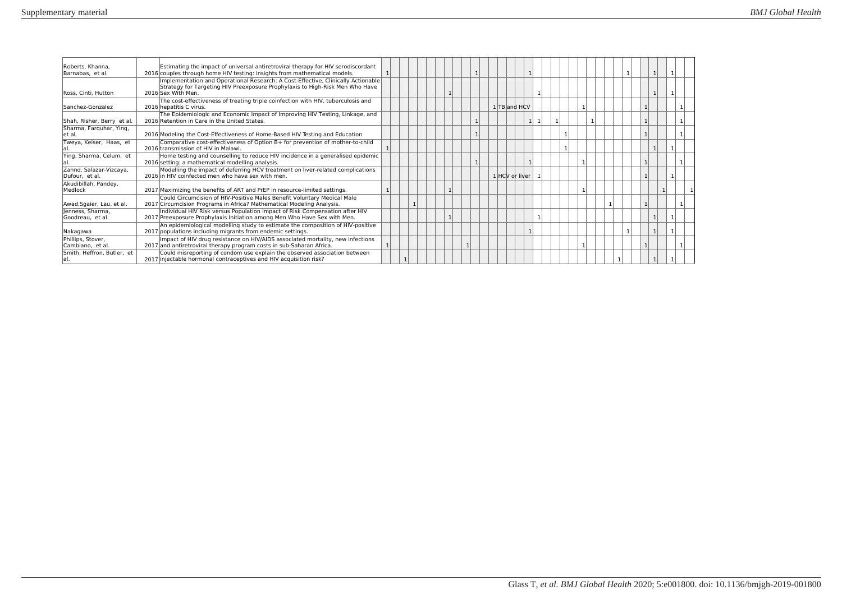| Roberts, Khanna.<br>Barnabas, et al.      | Estimating the impact of universal antiretroviral therapy for HIV serodiscordant<br>2016 couples through home HIV testing: insights from mathematical models.                          |  |  |  |  |  |                |                |  |  |  |  |   |  |
|-------------------------------------------|----------------------------------------------------------------------------------------------------------------------------------------------------------------------------------------|--|--|--|--|--|----------------|----------------|--|--|--|--|---|--|
| Ross, Cinti, Hutton                       | Implementation and Operational Research: A Cost-Effective, Clinically Actionable<br>Strategy for Targeting HIV Preexposure Prophylaxis to High-Risk Men Who Have<br>2016 Sex With Men. |  |  |  |  |  |                |                |  |  |  |  |   |  |
| Sanchez-Gonzalez                          | The cost-effectiveness of treating triple coinfection with HIV, tuberculosis and<br>2016 hepatitis C virus.                                                                            |  |  |  |  |  | 1 TB and HCV   |                |  |  |  |  |   |  |
| Shah, Risher, Berry et al.                | The Epidemiologic and Economic Impact of Improving HIV Testing, Linkage, and<br>2016 Retention in Care in the United States.                                                           |  |  |  |  |  |                | 1 <sup>1</sup> |  |  |  |  |   |  |
| Sharma, Farguhar, Ying,<br>let al.        | 2016 Modeling the Cost-Effectiveness of Home-Based HIV Testing and Education                                                                                                           |  |  |  |  |  |                |                |  |  |  |  |   |  |
| Tweya, Keiser, Haas, et                   | Comparative cost-effectiveness of Option B+ for prevention of mother-to-child<br>2016 transmission of HIV in Malawi.                                                                   |  |  |  |  |  |                |                |  |  |  |  |   |  |
| Ying, Sharma, Celum, et                   | Home testing and counselling to reduce HIV incidence in a generalised epidemic<br>2016 setting: a mathematical modelling analysis.                                                     |  |  |  |  |  |                |                |  |  |  |  |   |  |
| Zahnd, Salazar-Vizcaya,<br>Dufour, et al. | Modelling the impact of deferring HCV treatment on liver-related complications<br>2016 in HIV coinfected men who have sex with men.                                                    |  |  |  |  |  | 1 HCV or liver |                |  |  |  |  |   |  |
| Akudibillah, Pandey,<br>Medlock           | 2017 Maximizing the benefits of ART and PrEP in resource-limited settings.                                                                                                             |  |  |  |  |  |                |                |  |  |  |  | 1 |  |
| Awad, Sgaier, Lau, et al.                 | Could Circumcision of HIV-Positive Males Benefit Voluntary Medical Male<br>2017 Circumcision Programs in Africa? Mathematical Modeling Analysis.                                       |  |  |  |  |  |                |                |  |  |  |  |   |  |
| lenness. Sharma.<br>Goodreau. et al.      | Individual HIV Risk versus Population Impact of Risk Compensation after HIV<br>2017 Preexposure Prophylaxis Initiation among Men Who Have Sex with Men.                                |  |  |  |  |  |                |                |  |  |  |  |   |  |
| Nakagawa                                  | An epidemiological modelling study to estimate the composition of HIV-positive<br>2017 populations including migrants from endemic settings.                                           |  |  |  |  |  |                |                |  |  |  |  |   |  |
| Phillips, Stover,<br>Cambiano, et al.     | Impact of HIV drug resistance on HIV/AIDS associated mortality, new infections<br>2017 and antiretroviral therapy program costs in sub-Saharan Africa.                                 |  |  |  |  |  |                |                |  |  |  |  |   |  |
| Smith, Heffron, Butler, et                | Could misreporting of condom use explain the observed association between<br>2017 injectable hormonal contraceptives and HIV acquisition risk?                                         |  |  |  |  |  |                |                |  |  |  |  |   |  |